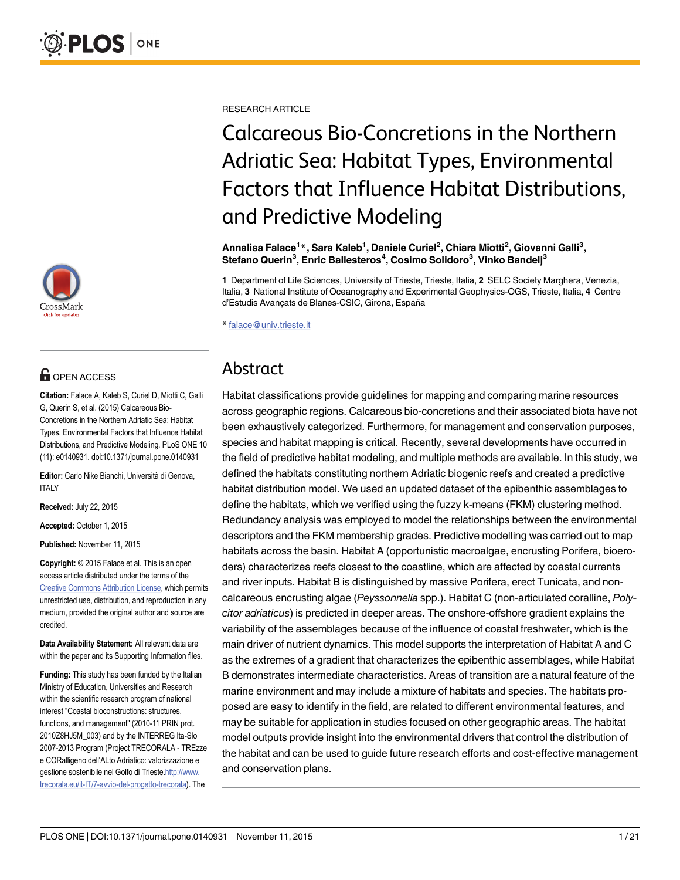

# **G** OPEN ACCESS

Citation: Falace A, Kaleb S, Curiel D, Miotti C, Galli G, Querin S, et al. (2015) Calcareous Bio-Concretions in the Northern Adriatic Sea: Habitat Types, Environmental Factors that Influence Habitat Distributions, and Predictive Modeling. PLoS ONE 10 (11): e0140931. doi:10.1371/journal.pone.0140931

Editor: Carlo Nike Bianchi, Università di Genova, ITALY

Received: July 22, 2015

Accepted: October 1, 2015

Published: November 11, 2015

Copyright: © 2015 Falace et al. This is an open access article distributed under the terms of the [Creative Commons Attribution License,](http://creativecommons.org/licenses/by/4.0/) which permits unrestricted use, distribution, and reproduction in any medium, provided the original author and source are credited.

Data Availability Statement: All relevant data are within the paper and its Supporting Information files.

Funding: This study has been funded by the Italian Ministry of Education, Universities and Research within the scientific research program of national interest "Coastal bioconstructions: structures, functions, and management" (2010-11 PRIN prot. 2010Z8HJ5M\_003) and by the INTERREG Ita-Slo 2007-2013 Program (Project TRECORALA - TREzze e CORalligeno dell'ALto Adriatico: valorizzazione e gestione sostenibile nel Golfo di Trieste.[http://www.](http://www.trecorala.eu/it-IT/7-avvio-del-progetto-trecorala) [trecorala.eu/it-IT/7-avvio-del-progetto-trecorala\)](http://www.trecorala.eu/it-IT/7-avvio-del-progetto-trecorala). The

RESEARCH ARTICLE

# Calcareous Bio-Concretions in the Northern Adriatic Sea: Habitat Types, Environmental Factors that Influence Habitat Distributions, and Predictive Modeling

Annalisa Falace<sup>1</sup>\*, Sara Kaleb<sup>1</sup>, Daniele Curiel<sup>2</sup>, Chiara Miotti<sup>2</sup>, Giovanni Galli<sup>3</sup>, Stefano Querin $^3$ , Enric Ballesteros $^4$ , Cosimo Solidoro $^3$ , Vinko Bandelj $^3$ 

1 Department of Life Sciences, University of Trieste, Trieste, Italia, 2 SELC Society Marghera, Venezia, Italia, 3 National Institute of Oceanography and Experimental Geophysics-OGS, Trieste, Italia, 4 Centre d'Estudis Avançats de Blanes-CSIC, Girona, España

\* falace@univ.trieste.it

# Abstract

Habitat classifications provide guidelines for mapping and comparing marine resources across geographic regions. Calcareous bio-concretions and their associated biota have not been exhaustively categorized. Furthermore, for management and conservation purposes, species and habitat mapping is critical. Recently, several developments have occurred in the field of predictive habitat modeling, and multiple methods are available. In this study, we defined the habitats constituting northern Adriatic biogenic reefs and created a predictive habitat distribution model. We used an updated dataset of the epibenthic assemblages to define the habitats, which we verified using the fuzzy k-means (FKM) clustering method. Redundancy analysis was employed to model the relationships between the environmental descriptors and the FKM membership grades. Predictive modelling was carried out to map habitats across the basin. Habitat A (opportunistic macroalgae, encrusting Porifera, bioeroders) characterizes reefs closest to the coastline, which are affected by coastal currents and river inputs. Habitat B is distinguished by massive Porifera, erect Tunicata, and noncalcareous encrusting algae (Peyssonnelia spp.). Habitat C (non-articulated coralline, Polycitor adriaticus) is predicted in deeper areas. The onshore-offshore gradient explains the variability of the assemblages because of the influence of coastal freshwater, which is the main driver of nutrient dynamics. This model supports the interpretation of Habitat A and C as the extremes of a gradient that characterizes the epibenthic assemblages, while Habitat B demonstrates intermediate characteristics. Areas of transition are a natural feature of the marine environment and may include a mixture of habitats and species. The habitats proposed are easy to identify in the field, are related to different environmental features, and may be suitable for application in studies focused on other geographic areas. The habitat model outputs provide insight into the environmental drivers that control the distribution of the habitat and can be used to guide future research efforts and cost-effective management and conservation plans.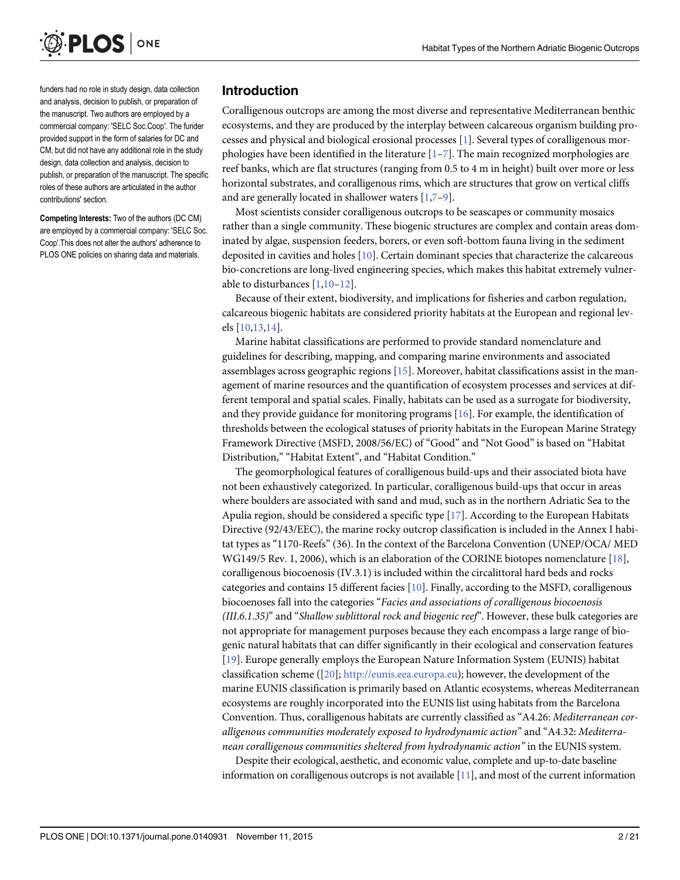<span id="page-1-0"></span>

funders had no role in study design, data collection and analysis, decision to publish, or preparation of the manuscript. Two authors are employed by a commercial company: 'SELC Soc.Coop'. The funder provided support in the form of salaries for DC and CM, but did not have any additional role in the study design, data collection and analysis, decision to publish, or preparation of the manuscript. The specific roles of these authors are articulated in the author contributions' section.

Competing Interests: Two of the authors (DC CM) are employed by a commercial company: 'SELC Soc. Coop'.This does not alter the authors' adherence to PLOS ONE policies on sharing data and materials.

## Introduction

Coralligenous outcrops are among the most diverse and representative Mediterranean benthic ecosystems, and they are produced by the interplay between calcareous organism building processes and physical and biological erosional processes [[1\]](#page-16-0). Several types of coralligenous morphologies have been identified in the literature  $[1–7]$  $[1–7]$  $[1–7]$ . The main recognized morphologies are reef banks, which are flat structures (ranging from 0.5 to 4 m in height) built over more or less horizontal substrates, and coralligenous rims, which are structures that grow on vertical cliffs and are generally located in shallower waters [\[1,7](#page-16-0)–[9\]](#page-16-0).

Most scientists consider coralligenous outcrops to be seascapes or community mosaics rather than a single community. These biogenic structures are complex and contain areas dominated by algae, suspension feeders, borers, or even soft-bottom fauna living in the sediment deposited in cavities and holes [[10](#page-16-0)]. Certain dominant species that characterize the calcareous bio-concretions are long-lived engineering species, which makes this habitat extremely vulnerable to disturbances [\[1,10](#page-16-0)–[12\]](#page-16-0).

Because of their extent, biodiversity, and implications for fisheries and carbon regulation, calcareous biogenic habitats are considered priority habitats at the European and regional levels [[10,13](#page-16-0),[14](#page-16-0)].

Marine habitat classifications are performed to provide standard nomenclature and guidelines for describing, mapping, and comparing marine environments and associated assemblages across geographic regions [[15](#page-16-0)]. Moreover, habitat classifications assist in the management of marine resources and the quantification of ecosystem processes and services at different temporal and spatial scales. Finally, habitats can be used as a surrogate for biodiversity, and they provide guidance for monitoring programs [\[16](#page-16-0)]. For example, the identification of thresholds between the ecological statuses of priority habitats in the European Marine Strategy Framework Directive (MSFD, 2008/56/EC) of "Good" and "Not Good" is based on "Habitat Distribution," "Habitat Extent", and "Habitat Condition."

The geomorphological features of coralligenous build-ups and their associated biota have not been exhaustively categorized. In particular, coralligenous build-ups that occur in areas where boulders are associated with sand and mud, such as in the northern Adriatic Sea to the Apulia region, should be considered a specific type  $[17]$  $[17]$  $[17]$ . According to the European Habitats Directive (92/43/EEC), the marine rocky outcrop classification is included in the Annex I habitat types as "1170-Reefs" (36). In the context of the Barcelona Convention (UNEP/OCA/ MED WG149/5 Rev. 1, 2006), which is an elaboration of the CORINE biotopes nomenclature  $[18]$ , coralligenous biocoenosis (IV.3.1) is included within the circalittoral hard beds and rocks categories and contains 15 different facies [\[10\]](#page-16-0). Finally, according to the MSFD, coralligenous biocoenoses fall into the categories "Facies and associations of coralligenous biocoenosis (III.6.1.35)" and "Shallow sublittoral rock and biogenic reef". However, these bulk categories are not appropriate for management purposes because they each encompass a large range of biogenic natural habitats that can differ significantly in their ecological and conservation features [\[19](#page-17-0)]. Europe generally employs the European Nature Information System (EUNIS) habitat classification scheme ([[20\]](#page-17-0); [http://eunis.eea.europa.eu\)](http://eunis.eea.europa.eu/); however, the development of the marine EUNIS classification is primarily based on Atlantic ecosystems, whereas Mediterranean ecosystems are roughly incorporated into the EUNIS list using habitats from the Barcelona Convention. Thus, coralligenous habitats are currently classified as "A4.26: Mediterranean coralligenous communities moderately exposed to hydrodynamic action" and "A4.32: Mediterranean coralligenous communities sheltered from hydrodynamic action" in the EUNIS system.

Despite their ecological, aesthetic, and economic value, complete and up-to-date baseline information on coralligenous outcrops is not available  $[11]$  $[11]$ , and most of the current information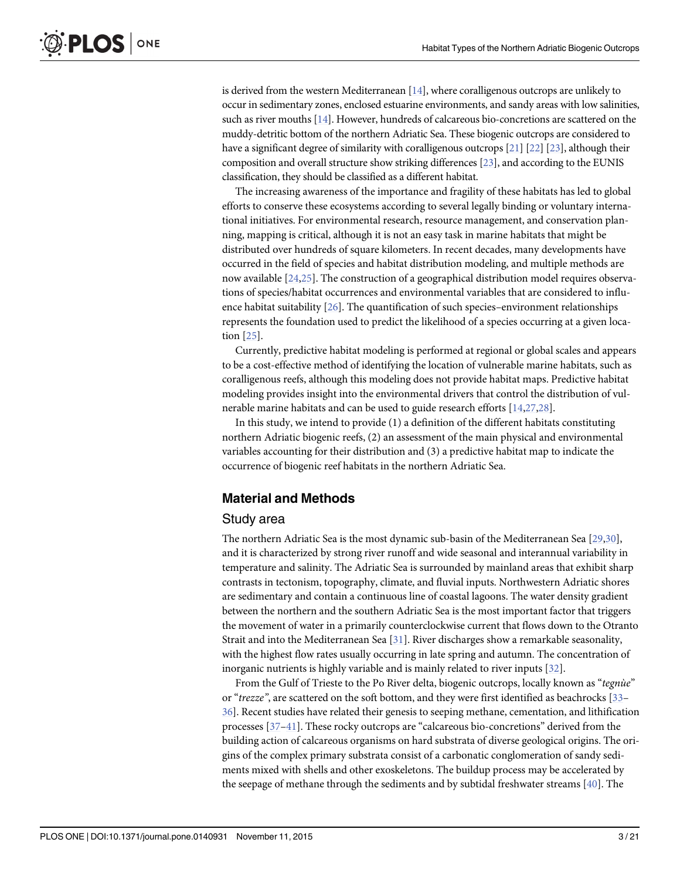is derived from the western Mediterranean [\[14](#page-16-0)], where coralligenous outcrops are unlikely to occur in sedimentary zones, enclosed estuarine environments, and sandy areas with low salinities, such as river mouths [[14](#page-16-0)]. However, hundreds of calcareous bio-concretions are scattered on the muddy-detritic bottom of the northern Adriatic Sea. These biogenic outcrops are considered to have a significant degree of similarity with coralligenous outcrops [[21](#page-17-0)] [[22](#page-17-0)] [\[23\]](#page-17-0), although their composition and overall structure show striking differences [\[23\]](#page-17-0), and according to the EUNIS classification, they should be classified as a different habitat.

The increasing awareness of the importance and fragility of these habitats has led to global efforts to conserve these ecosystems according to several legally binding or voluntary international initiatives. For environmental research, resource management, and conservation planning, mapping is critical, although it is not an easy task in marine habitats that might be distributed over hundreds of square kilometers. In recent decades, many developments have occurred in the field of species and habitat distribution modeling, and multiple methods are now available [[24,25\]](#page-17-0). The construction of a geographical distribution model requires observations of species/habitat occurrences and environmental variables that are considered to influence habitat suitability [[26](#page-17-0)]. The quantification of such species–environment relationships represents the foundation used to predict the likelihood of a species occurring at a given location [[25](#page-17-0)].

Currently, predictive habitat modeling is performed at regional or global scales and appears to be a cost-effective method of identifying the location of vulnerable marine habitats, such as coralligenous reefs, although this modeling does not provide habitat maps. Predictive habitat modeling provides insight into the environmental drivers that control the distribution of vulnerable marine habitats and can be used to guide research efforts [\[14](#page-16-0)[,27,28\]](#page-17-0).

In this study, we intend to provide (1) a definition of the different habitats constituting northern Adriatic biogenic reefs, (2) an assessment of the main physical and environmental variables accounting for their distribution and (3) a predictive habitat map to indicate the occurrence of biogenic reef habitats in the northern Adriatic Sea.

#### Material and Methods

#### Study area

The northern Adriatic Sea is the most dynamic sub-basin of the Mediterranean Sea [\[29,30\]](#page-17-0), and it is characterized by strong river runoff and wide seasonal and interannual variability in temperature and salinity. The Adriatic Sea is surrounded by mainland areas that exhibit sharp contrasts in tectonism, topography, climate, and fluvial inputs. Northwestern Adriatic shores are sedimentary and contain a continuous line of coastal lagoons. The water density gradient between the northern and the southern Adriatic Sea is the most important factor that triggers the movement of water in a primarily counterclockwise current that flows down to the Otranto Strait and into the Mediterranean Sea [[31\]](#page-17-0). River discharges show a remarkable seasonality, with the highest flow rates usually occurring in late spring and autumn. The concentration of inorganic nutrients is highly variable and is mainly related to river inputs [\[32\]](#page-17-0).

From the Gulf of Trieste to the Po River delta, biogenic outcrops, locally known as "tegnue" or "trezze", are scattered on the soft bottom, and they were first identified as beachrocks  $[33 [33 [33-$ [36\]](#page-17-0). Recent studies have related their genesis to seeping methane, cementation, and lithification processes [[37](#page-17-0)–[41](#page-17-0)]. These rocky outcrops are "calcareous bio-concretions" derived from the building action of calcareous organisms on hard substrata of diverse geological origins. The origins of the complex primary substrata consist of a carbonatic conglomeration of sandy sediments mixed with shells and other exoskeletons. The buildup process may be accelerated by the seepage of methane through the sediments and by subtidal freshwater streams  $[40]$  $[40]$ . The

<span id="page-2-0"></span>**PLOS I** 

ONE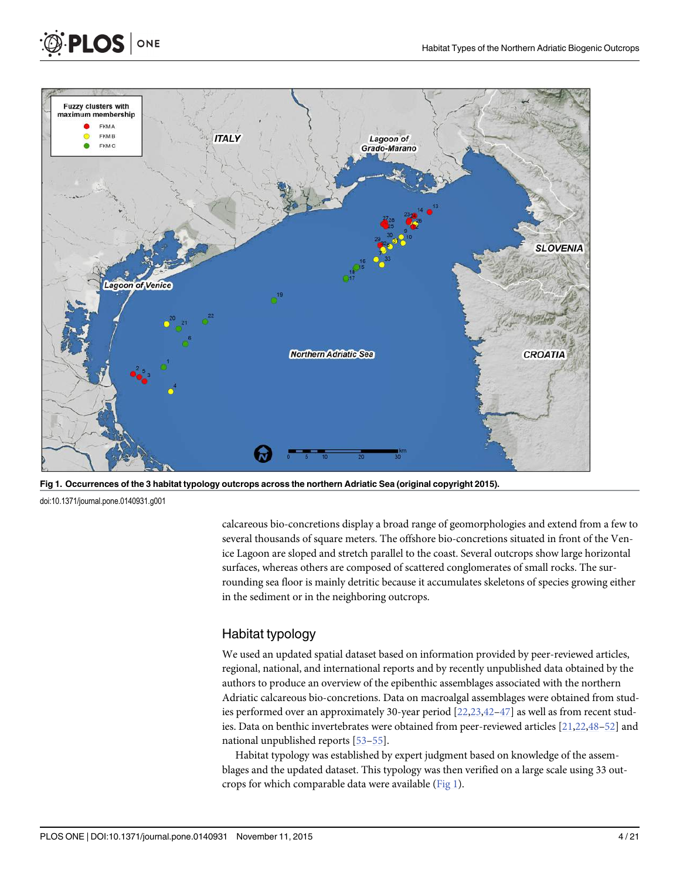

Fig 1. Occurrences of the 3 habitat typology outcrops across the northern Adriatic Sea (original copyright 2015).

<span id="page-3-0"></span>**PLOS** ONE

calcareous bio-concretions display a broad range of geomorphologies and extend from a few to several thousands of square meters. The offshore bio-concretions situated in front of the Venice Lagoon are sloped and stretch parallel to the coast. Several outcrops show large horizontal surfaces, whereas others are composed of scattered conglomerates of small rocks. The surrounding sea floor is mainly detritic because it accumulates skeletons of species growing either in the sediment or in the neighboring outcrops.

# Habitat typology

We used an updated spatial dataset based on information provided by peer-reviewed articles, regional, national, and international reports and by recently unpublished data obtained by the authors to produce an overview of the epibenthic assemblages associated with the northern Adriatic calcareous bio-concretions. Data on macroalgal assemblages were obtained from studies performed over an approximately 30-year period [[22,23](#page-17-0),[42](#page-18-0)–[47\]](#page-18-0) as well as from recent studies. Data on benthic invertebrates were obtained from peer-reviewed articles [\[21,22,](#page-17-0)[48](#page-18-0)–[52](#page-18-0)] and national unpublished reports [[53](#page-18-0)–[55\]](#page-18-0).

Habitat typology was established by expert judgment based on knowledge of the assemblages and the updated dataset. This typology was then verified on a large scale using 33 outcrops for which comparable data were available (Fig 1).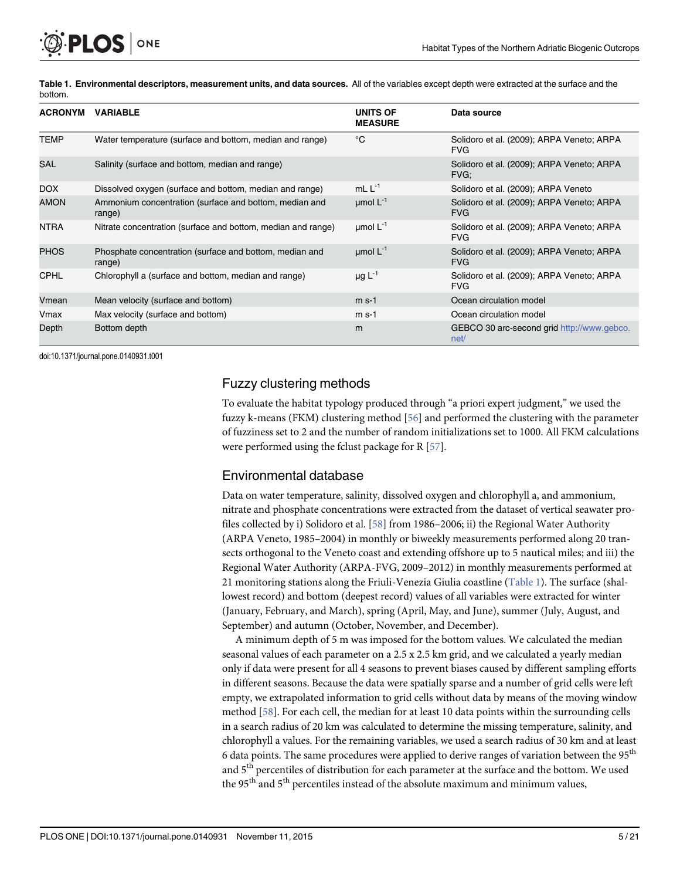Table 1. Environmental descriptors, measurement units, and data sources. All of the variables except depth were extracted at the surface and the bottom.

| <b>ACRONYM</b> | <b>VARIABLE</b>                                                   | <b>UNITS OF</b><br><b>MEASURE</b> | Data source                                             |
|----------------|-------------------------------------------------------------------|-----------------------------------|---------------------------------------------------------|
| <b>TEMP</b>    | Water temperature (surface and bottom, median and range)          | $^{\circ}C$                       | Solidoro et al. (2009); ARPA Veneto; ARPA<br><b>FVG</b> |
| <b>SAL</b>     | Salinity (surface and bottom, median and range)                   |                                   | Solidoro et al. (2009); ARPA Veneto; ARPA<br>FVG;       |
| <b>DOX</b>     | Dissolved oxygen (surface and bottom, median and range)           | mL $L^{-1}$                       | Solidoro et al. (2009); ARPA Veneto                     |
| <b>AMON</b>    | Ammonium concentration (surface and bottom, median and<br>range)  | umol $L^{-1}$                     | Solidoro et al. (2009); ARPA Veneto; ARPA<br><b>FVG</b> |
| <b>NTRA</b>    | Nitrate concentration (surface and bottom, median and range)      | $µmol$ $L^{-1}$                   | Solidoro et al. (2009); ARPA Veneto; ARPA<br><b>FVG</b> |
| <b>PHOS</b>    | Phosphate concentration (surface and bottom, median and<br>range) | umol $L^{-1}$                     | Solidoro et al. (2009); ARPA Veneto; ARPA<br><b>FVG</b> |
| <b>CPHL</b>    | Chlorophyll a (surface and bottom, median and range)              | $\mu$ g L <sup>-1</sup>           | Solidoro et al. (2009); ARPA Veneto; ARPA<br><b>FVG</b> |
| Vmean          | Mean velocity (surface and bottom)                                | $m s-1$                           | Ocean circulation model                                 |
| Vmax           | Max velocity (surface and bottom)                                 | $m s-1$                           | Ocean circulation model                                 |
| Depth          | Bottom depth                                                      | m                                 | GEBCO 30 arc-second grid http://www.gebco.<br>net/      |

doi:10.1371/journal.pone.0140931.t001

<span id="page-4-0"></span> $\mathsf{PLOS}\!\mid\! \mathsf{one}$ 

## Fuzzy clustering methods

To evaluate the habitat typology produced through "a priori expert judgment," we used the fuzzy k-means (FKM) clustering method [\[56\]](#page-18-0) and performed the clustering with the parameter of fuzziness set to 2 and the number of random initializations set to 1000. All FKM calculations were performed using the fclust package for R [[57\]](#page-18-0).

#### Environmental database

Data on water temperature, salinity, dissolved oxygen and chlorophyll a, and ammonium, nitrate and phosphate concentrations were extracted from the dataset of vertical seawater profiles collected by i) Solidoro et al. [\[58\]](#page-18-0) from 1986–2006; ii) the Regional Water Authority (ARPA Veneto, 1985–2004) in monthly or biweekly measurements performed along 20 transects orthogonal to the Veneto coast and extending offshore up to 5 nautical miles; and iii) the Regional Water Authority (ARPA-FVG, 2009–2012) in monthly measurements performed at 21 monitoring stations along the Friuli-Venezia Giulia coastline (Table 1). The surface (shallowest record) and bottom (deepest record) values of all variables were extracted for winter (January, February, and March), spring (April, May, and June), summer (July, August, and September) and autumn (October, November, and December).

A minimum depth of 5 m was imposed for the bottom values. We calculated the median seasonal values of each parameter on a 2.5 x 2.5 km grid, and we calculated a yearly median only if data were present for all 4 seasons to prevent biases caused by different sampling efforts in different seasons. Because the data were spatially sparse and a number of grid cells were left empty, we extrapolated information to grid cells without data by means of the moving window method [[58](#page-18-0)]. For each cell, the median for at least 10 data points within the surrounding cells in a search radius of 20 km was calculated to determine the missing temperature, salinity, and chlorophyll a values. For the remaining variables, we used a search radius of 30 km and at least 6 data points. The same procedures were applied to derive ranges of variation between the 95<sup>th</sup> and 5<sup>th</sup> percentiles of distribution for each parameter at the surface and the bottom. We used the  $95<sup>th</sup>$  and  $5<sup>th</sup>$  percentiles instead of the absolute maximum and minimum values,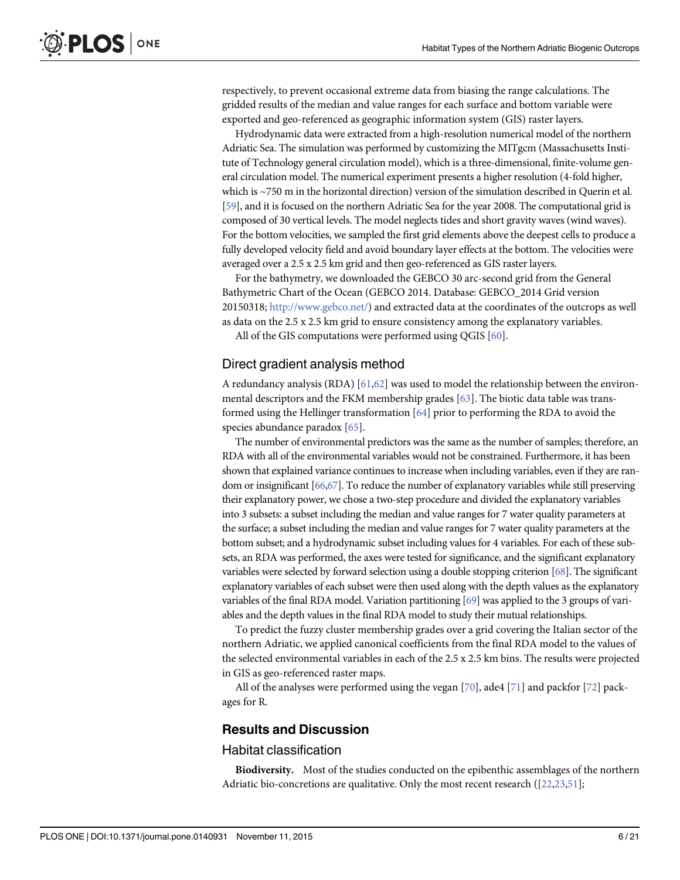<span id="page-5-0"></span>respectively, to prevent occasional extreme data from biasing the range calculations. The gridded results of the median and value ranges for each surface and bottom variable were exported and geo-referenced as geographic information system (GIS) raster layers.

Hydrodynamic data were extracted from a high-resolution numerical model of the northern Adriatic Sea. The simulation was performed by customizing the MITgcm (Massachusetts Institute of Technology general circulation model), which is a three-dimensional, finite-volume general circulation model. The numerical experiment presents a higher resolution (4-fold higher, which is ~750 m in the horizontal direction) version of the simulation described in Querin et al. [\[59\]](#page-18-0), and it is focused on the northern Adriatic Sea for the year 2008. The computational grid is composed of 30 vertical levels. The model neglects tides and short gravity waves (wind waves). For the bottom velocities, we sampled the first grid elements above the deepest cells to produce a fully developed velocity field and avoid boundary layer effects at the bottom. The velocities were averaged over a 2.5 x 2.5 km grid and then geo-referenced as GIS raster layers.

For the bathymetry, we downloaded the GEBCO 30 arc-second grid from the General Bathymetric Chart of the Ocean (GEBCO 2014. Database: GEBCO\_2014 Grid version 20150318; <http://www.gebco.net/>) and extracted data at the coordinates of the outcrops as well as data on the 2.5 x 2.5 km grid to ensure consistency among the explanatory variables.

All of the GIS computations were performed using QGIS [\[60](#page-18-0)].

#### Direct gradient analysis method

A redundancy analysis (RDA)  $[61,62]$  $[61,62]$  $[61,62]$  was used to model the relationship between the environmental descriptors and the FKM membership grades  $[63]$  $[63]$ . The biotic data table was transformed using the Hellinger transformation [[64\]](#page-18-0) prior to performing the RDA to avoid the species abundance paradox [[65](#page-18-0)].

The number of environmental predictors was the same as the number of samples; therefore, an RDA with all of the environmental variables would not be constrained. Furthermore, it has been shown that explained variance continues to increase when including variables, even if they are random or insignificant [[66](#page-18-0)[,67](#page-19-0)]. To reduce the number of explanatory variables while still preserving their explanatory power, we chose a two-step procedure and divided the explanatory variables into 3 subsets: a subset including the median and value ranges for 7 water quality parameters at the surface; a subset including the median and value ranges for 7 water quality parameters at the bottom subset; and a hydrodynamic subset including values for 4 variables. For each of these subsets, an RDA was performed, the axes were tested for significance, and the significant explanatory variables were selected by forward selection using a double stopping criterion [\[68](#page-19-0)]. The significant explanatory variables of each subset were then used along with the depth values as the explanatory variables of the final RDA model. Variation partitioning [[69](#page-19-0)] was applied to the 3 groups of variables and the depth values in the final RDA model to study their mutual relationships.

To predict the fuzzy cluster membership grades over a grid covering the Italian sector of the northern Adriatic, we applied canonical coefficients from the final RDA model to the values of the selected environmental variables in each of the 2.5 x 2.5 km bins. The results were projected in GIS as geo-referenced raster maps.

All of the analyses were performed using the vegan  $[70]$ , ade4  $[71]$  $[71]$  and packfor  $[72]$  packages for R.

### Results and Discussion

#### Habitat classification

Biodiversity. Most of the studies conducted on the epibenthic assemblages of the northern Adriatic bio-concretions are qualitative. Only the most recent research ( $[22,23,51]$  $[22,23,51]$  $[22,23,51]$ ;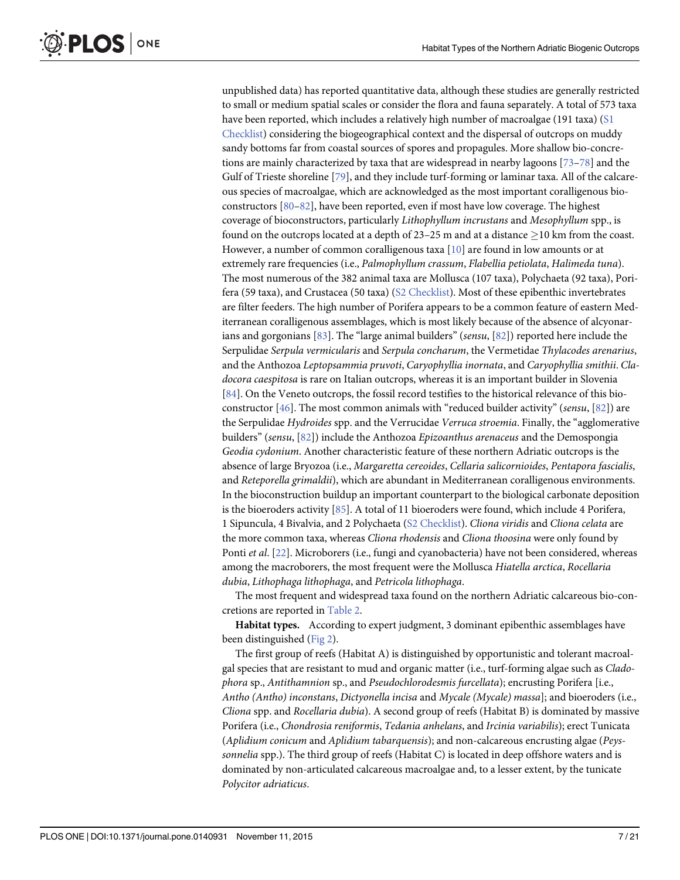<span id="page-6-0"></span>**PLOS** I ONE

> unpublished data) has reported quantitative data, although these studies are generally restricted to small or medium spatial scales or consider the flora and fauna separately. A total of 573 taxa have been reported, which includes a relatively high number of macroalgae (191 taxa) ([S1](#page-15-0) [Checklist\)](#page-15-0) considering the biogeographical context and the dispersal of outcrops on muddy sandy bottoms far from coastal sources of spores and propagules. More shallow bio-concretions are mainly characterized by taxa that are widespread in nearby lagoons [\[73](#page-19-0)–[78\]](#page-19-0) and the Gulf of Trieste shoreline [[79](#page-19-0)], and they include turf-forming or laminar taxa. All of the calcareous species of macroalgae, which are acknowledged as the most important coralligenous bioconstructors [\[80](#page-19-0)–[82\]](#page-19-0), have been reported, even if most have low coverage. The highest coverage of bioconstructors, particularly Lithophyllum incrustans and Mesophyllum spp., is found on the outcrops located at a depth of  $23-25$  m and at a distance  $>10$  km from the coast. However, a number of common coralligenous taxa  $[10]$  are found in low amounts or at extremely rare frequencies (i.e., Palmophyllum crassum, Flabellia petiolata, Halimeda tuna). The most numerous of the 382 animal taxa are Mollusca (107 taxa), Polychaeta (92 taxa), Porifera (59 taxa), and Crustacea (50 taxa) [\(S2 Checklist\)](#page-15-0). Most of these epibenthic invertebrates are filter feeders. The high number of Porifera appears to be a common feature of eastern Mediterranean coralligenous assemblages, which is most likely because of the absence of alcyonarians and gorgonians  $[83]$  $[83]$ . The "large animal builders" (sensu,  $[82]$  $[82]$ ) reported here include the Serpulidae Serpula vermicularis and Serpula concharum, the Vermetidae Thylacodes arenarius, and the Anthozoa Leptopsammia pruvoti, Caryophyllia inornata, and Caryophyllia smithii. Cladocora caespitosa is rare on Italian outcrops, whereas it is an important builder in Slovenia [\[84](#page-19-0)]. On the Veneto outcrops, the fossil record testifies to the historical relevance of this bioconstructor [[46](#page-18-0)]. The most common animals with "reduced builder activity" (sensu, [\[82\]](#page-19-0)) are the Serpulidae Hydroides spp. and the Verrucidae Verruca stroemia. Finally, the "agglomerative builders" (sensu, [[82](#page-19-0)]) include the Anthozoa Epizoanthus arenaceus and the Demospongia Geodia cydonium. Another characteristic feature of these northern Adriatic outcrops is the absence of large Bryozoa (i.e., Margaretta cereoides, Cellaria salicornioides, Pentapora fascialis, and Reteporella grimaldii), which are abundant in Mediterranean coralligenous environments. In the bioconstruction buildup an important counterpart to the biological carbonate deposition is the bioeroders activity [\[85\]](#page-19-0). A total of 11 bioeroders were found, which include 4 Porifera, 1 Sipuncula, 4 Bivalvia, and 2 Polychaeta ([S2 Checklist](#page-15-0)). Cliona viridis and Cliona celata are the more common taxa, whereas Cliona rhodensis and Cliona thoosina were only found by Ponti et al. [\[22\]](#page-17-0). Microborers (i.e., fungi and cyanobacteria) have not been considered, whereas among the macroborers, the most frequent were the Mollusca Hiatella arctica, Rocellaria dubia, Lithophaga lithophaga, and Petricola lithophaga.

> The most frequent and widespread taxa found on the northern Adriatic calcareous bio-concretions are reported in [Table 2](#page-7-0).

Habitat types. According to expert judgment, 3 dominant epibenthic assemblages have been distinguished ([Fig 2](#page-8-0)).

The first group of reefs (Habitat A) is distinguished by opportunistic and tolerant macroalgal species that are resistant to mud and organic matter (i.e., turf-forming algae such as Cladophora sp., Antithamnion sp., and Pseudochlorodesmis furcellata); encrusting Porifera [i.e., Antho (Antho) inconstans, Dictyonella incisa and Mycale (Mycale) massa]; and bioeroders (i.e., Cliona spp. and Rocellaria dubia). A second group of reefs (Habitat B) is dominated by massive Porifera (i.e., Chondrosia reniformis, Tedania anhelans, and Ircinia variabilis); erect Tunicata (Aplidium conicum and Aplidium tabarquensis); and non-calcareous encrusting algae (Peyssonnelia spp.). The third group of reefs (Habitat C) is located in deep offshore waters and is dominated by non-articulated calcareous macroalgae and, to a lesser extent, by the tunicate Polycitor adriaticus.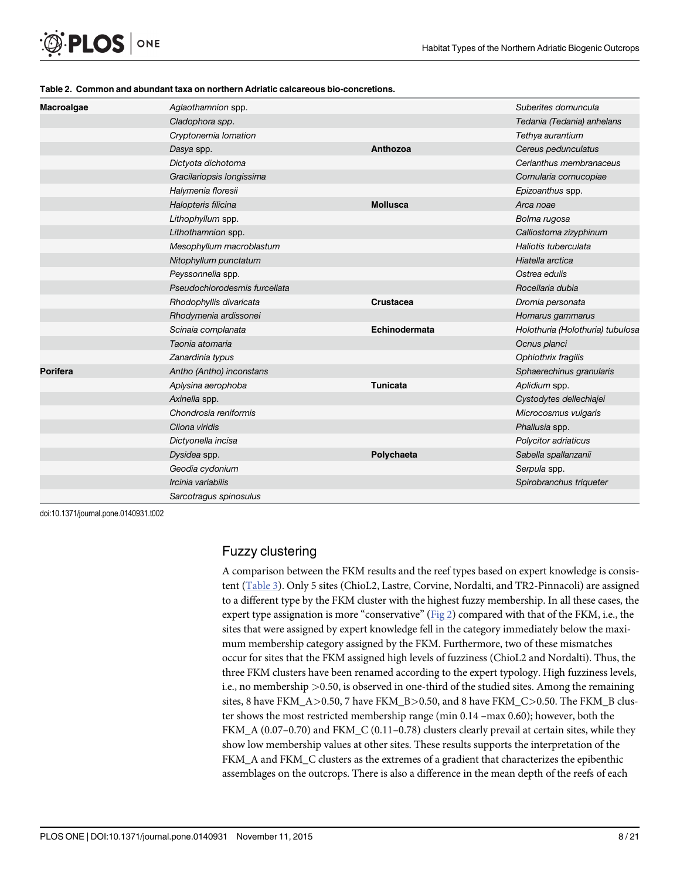<span id="page-7-0"></span>

| Macroalgae      | Aglaothamnion spp.            |                  | Suberites domuncula              |
|-----------------|-------------------------------|------------------|----------------------------------|
|                 | Cladophora spp.               |                  | Tedania (Tedania) anhelans       |
|                 | Cryptonemia lomation          |                  | Tethya aurantium                 |
|                 | Dasya spp.                    | Anthozoa         | Cereus pedunculatus              |
|                 | Dictyota dichotoma            |                  | Cerianthus membranaceus          |
|                 | Gracilariopsis longissima     |                  | Cornularia cornucopiae           |
|                 | Halymenia floresii            |                  | Epizoanthus spp.                 |
|                 | Halopteris filicina           | <b>Mollusca</b>  | Arca noae                        |
|                 | Lithophyllum spp.             |                  | Bolma rugosa                     |
|                 | Lithothamnion spp.            |                  | Calliostoma zizyphinum           |
|                 | Mesophyllum macroblastum      |                  | Haliotis tuberculata             |
|                 | Nitophyllum punctatum         |                  | Hiatella arctica                 |
|                 | Peyssonnelia spp.             |                  | Ostrea edulis                    |
|                 | Pseudochlorodesmis furcellata |                  | Rocellaria dubia                 |
|                 | Rhodophyllis divaricata       | <b>Crustacea</b> | Dromia personata                 |
|                 | Rhodymenia ardissonei         |                  | Homarus gammarus                 |
|                 | Scinaia complanata            | Echinodermata    | Holothuria (Holothuria) tubulosa |
|                 | Taonia atomaria               |                  | Ocnus planci                     |
|                 | Zanardinia typus              |                  | Ophiothrix fragilis              |
| <b>Porifera</b> | Antho (Antho) inconstans      |                  | Sphaerechinus granularis         |
|                 | Aplysina aerophoba            | <b>Tunicata</b>  | Aplidium spp.                    |
|                 | Axinella spp.                 |                  | Cystodytes dellechiajei          |
|                 | Chondrosia reniformis         |                  | Microcosmus vulgaris             |
|                 | Cliona viridis                |                  | Phallusia spp.                   |
|                 | Dictyonella incisa            |                  | Polycitor adriaticus             |
|                 | Dysidea spp.                  | Polychaeta       | Sabella spallanzanii             |
|                 | Geodia cydonium               |                  | Serpula spp.                     |
|                 | Ircinia variabilis            |                  | Spirobranchus triqueter          |
|                 | Sarcotragus spinosulus        |                  |                                  |

#### [Table 2.](#page-6-0) Common and abundant taxa on northern Adriatic calcareous bio-concretions.

doi:10.1371/journal.pone.0140931.t002

#### Fuzzy clustering

A comparison between the FKM results and the reef types based on expert knowledge is consistent [\(Table 3](#page-9-0)). Only 5 sites (ChioL2, Lastre, Corvine, Nordalti, and TR2-Pinnacoli) are assigned to a different type by the FKM cluster with the highest fuzzy membership. In all these cases, the expert type assignation is more "conservative" ( $Fig 2$ ) compared with that of the FKM, i.e., the sites that were assigned by expert knowledge fell in the category immediately below the maximum membership category assigned by the FKM. Furthermore, two of these mismatches occur for sites that the FKM assigned high levels of fuzziness (ChioL2 and Nordalti). Thus, the three FKM clusters have been renamed according to the expert typology. High fuzziness levels, i.e., no membership >0.50, is observed in one-third of the studied sites. Among the remaining sites, 8 have FKM\_A>0.50, 7 have FKM\_B>0.50, and 8 have FKM\_C>0.50. The FKM\_B cluster shows the most restricted membership range (min 0.14 –max 0.60); however, both the FKM\_A (0.07–0.70) and FKM\_C (0.11–0.78) clusters clearly prevail at certain sites, while they show low membership values at other sites. These results supports the interpretation of the FKM\_A and FKM\_C clusters as the extremes of a gradient that characterizes the epibenthic assemblages on the outcrops. There is also a difference in the mean depth of the reefs of each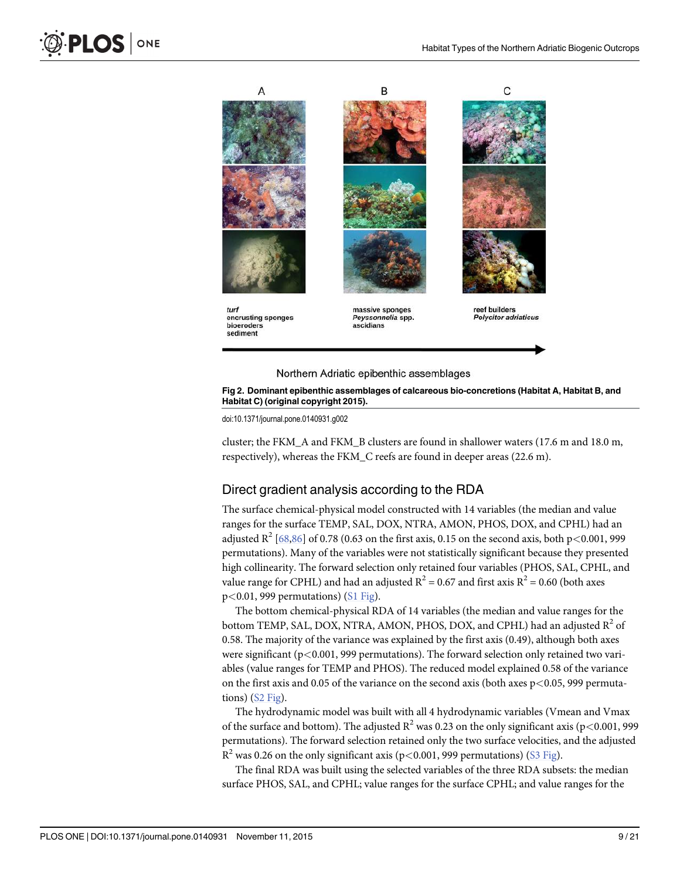

[Fig 2. D](#page-6-0)ominant epibenthic assemblages of calcareous bio-concretions (Habitat A, Habitat B, and Habitat C) (original copyright 2015).

doi:10.1371/journal.pone.0140931.g002

cluster; the FKM\_A and FKM\_B clusters are found in shallower waters (17.6 m and 18.0 m, respectively), whereas the FKM\_C reefs are found in deeper areas (22.6 m).

#### Direct gradient analysis according to the RDA

The surface chemical-physical model constructed with 14 variables (the median and value ranges for the surface TEMP, SAL, DOX, NTRA, AMON, PHOS, DOX, and CPHL) had an adjusted  $R^2$  [[68,86](#page-19-0)] of 0.78 (0.63 on the first axis, 0.15 on the second axis, both p<0.001, 999 permutations). Many of the variables were not statistically significant because they presented high collinearity. The forward selection only retained four variables (PHOS, SAL, CPHL, and value range for CPHL) and had an adjusted  $R^2 = 0.67$  and first axis  $R^2 = 0.60$  (both axes p<0.01, 999 permutations) [\(S1 Fig](#page-15-0)).

The bottom chemical-physical RDA of 14 variables (the median and value ranges for the bottom TEMP, SAL, DOX, NTRA, AMON, PHOS, DOX, and CPHL) had an adjusted  $R^2$  of 0.58. The majority of the variance was explained by the first axis (0.49), although both axes were significant  $(p<0.001, 999$  permutations). The forward selection only retained two variables (value ranges for TEMP and PHOS). The reduced model explained 0.58 of the variance on the first axis and 0.05 of the variance on the second axis (both axes  $p<0.05$ , 999 permutations)  $(S2$  Fig).

The hydrodynamic model was built with all 4 hydrodynamic variables (Vmean and Vmax of the surface and bottom). The adjusted  $R^2$  was 0.23 on the only significant axis (p<0.001, 999 permutations). The forward selection retained only the two surface velocities, and the adjusted  $R<sup>2</sup>$  was 0.26 on the only significant axis (p<0.001, 999 permutations) [\(S3 Fig](#page-16-0)).

The final RDA was built using the selected variables of the three RDA subsets: the median surface PHOS, SAL, and CPHL; value ranges for the surface CPHL; and value ranges for the

<span id="page-8-0"></span>PLOS ONE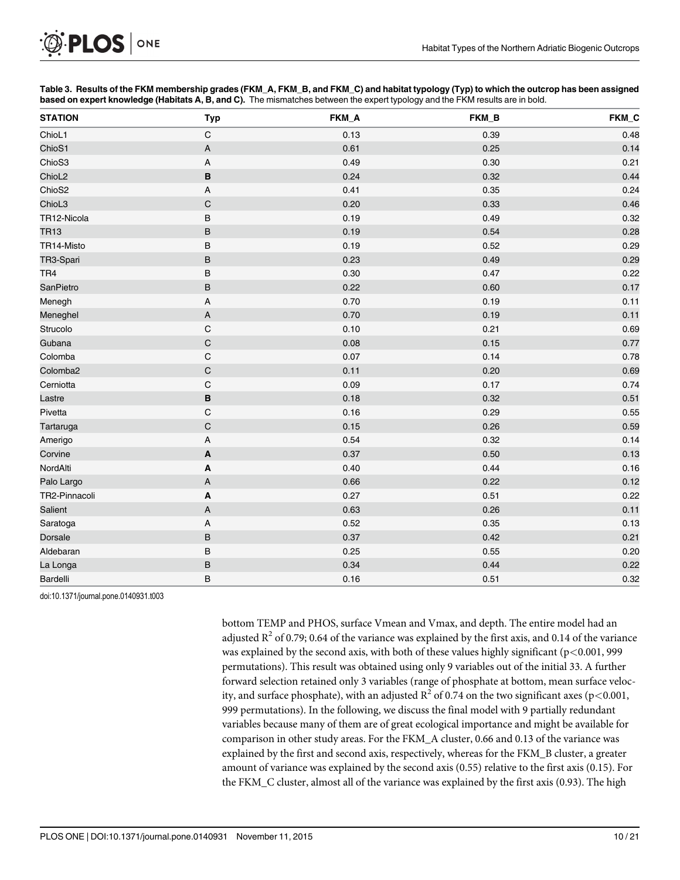<span id="page-9-0"></span>

[Table 3.](#page-7-0) Results of the FKM membership grades (FKM\_A, FKM\_B, and FKM\_C) and habitat typology (Typ) to which the outcrop has been assigned based on expert knowledge (Habitats A, B, and C). The mismatches between the expert typology and the FKM results are in bold.

| <b>STATION</b>     | <b>Typ</b>   | FKM_A | FKM_B | FKM_C |
|--------------------|--------------|-------|-------|-------|
| ChioL1             | $\mathsf C$  | 0.13  | 0.39  | 0.48  |
| ChioS1             | $\mathsf A$  | 0.61  | 0.25  | 0.14  |
| ChioS3             | $\sf A$      | 0.49  | 0.30  | 0.21  |
| ChioL <sub>2</sub> | $\, {\bf B}$ | 0.24  | 0.32  | 0.44  |
| ChioS2             | A            | 0.41  | 0.35  | 0.24  |
| ChioL3             | $\mathsf C$  | 0.20  | 0.33  | 0.46  |
| TR12-Nicola        | $\sf B$      | 0.19  | 0.49  | 0.32  |
| <b>TR13</b>        | $\sf B$      | 0.19  | 0.54  | 0.28  |
| TR14-Misto         | $\sf B$      | 0.19  | 0.52  | 0.29  |
| TR3-Spari          | $\, {\bf B}$ | 0.23  | 0.49  | 0.29  |
| TR <sub>4</sub>    | $\sf B$      | 0.30  | 0.47  | 0.22  |
| SanPietro          | $\sf B$      | 0.22  | 0.60  | 0.17  |
| Menegh             | A            | 0.70  | 0.19  | 0.11  |
| Meneghel           | $\mathsf A$  | 0.70  | 0.19  | 0.11  |
| Strucolo           | $\mathsf C$  | 0.10  | 0.21  | 0.69  |
| Gubana             | $\mathsf C$  | 0.08  | 0.15  | 0.77  |
| Colomba            | $\mathsf C$  | 0.07  | 0.14  | 0.78  |
| Colomba2           | $\mathsf C$  | 0.11  | 0.20  | 0.69  |
| Cerniotta          | $\mathsf C$  | 0.09  | 0.17  | 0.74  |
| Lastre             | $\, {\bf B}$ | 0.18  | 0.32  | 0.51  |
| Pivetta            | $\mathsf C$  | 0.16  | 0.29  | 0.55  |
| Tartaruga          | $\mathsf C$  | 0.15  | 0.26  | 0.59  |
| Amerigo            | A            | 0.54  | 0.32  | 0.14  |
| Corvine            | A            | 0.37  | 0.50  | 0.13  |
| NordAlti           | A            | 0.40  | 0.44  | 0.16  |
| Palo Largo         | $\sf A$      | 0.66  | 0.22  | 0.12  |
| TR2-Pinnacoli      | Α            | 0.27  | 0.51  | 0.22  |
| Salient            | A            | 0.63  | 0.26  | 0.11  |
| Saratoga           | Α            | 0.52  | 0.35  | 0.13  |
| Dorsale            | $\sf B$      | 0.37  | 0.42  | 0.21  |
| Aldebaran          | $\sf B$      | 0.25  | 0.55  | 0.20  |
| La Longa           | $\sf B$      | 0.34  | 0.44  | 0.22  |
| Bardelli           | $\, {\bf B}$ | 0.16  | 0.51  | 0.32  |

doi:10.1371/journal.pone.0140931.t003

bottom TEMP and PHOS, surface Vmean and Vmax, and depth. The entire model had an adjusted  $R^2$  of 0.79; 0.64 of the variance was explained by the first axis, and 0.14 of the variance was explained by the second axis, with both of these values highly significant (p<0.001, 999 permutations). This result was obtained using only 9 variables out of the initial 33. A further forward selection retained only 3 variables (range of phosphate at bottom, mean surface velocity, and surface phosphate), with an adjusted  $R^2$  of 0.74 on the two significant axes (p<0.001, 999 permutations). In the following, we discuss the final model with 9 partially redundant variables because many of them are of great ecological importance and might be available for comparison in other study areas. For the FKM\_A cluster, 0.66 and 0.13 of the variance was explained by the first and second axis, respectively, whereas for the FKM\_B cluster, a greater amount of variance was explained by the second axis (0.55) relative to the first axis (0.15). For the FKM\_C cluster, almost all of the variance was explained by the first axis (0.93). The high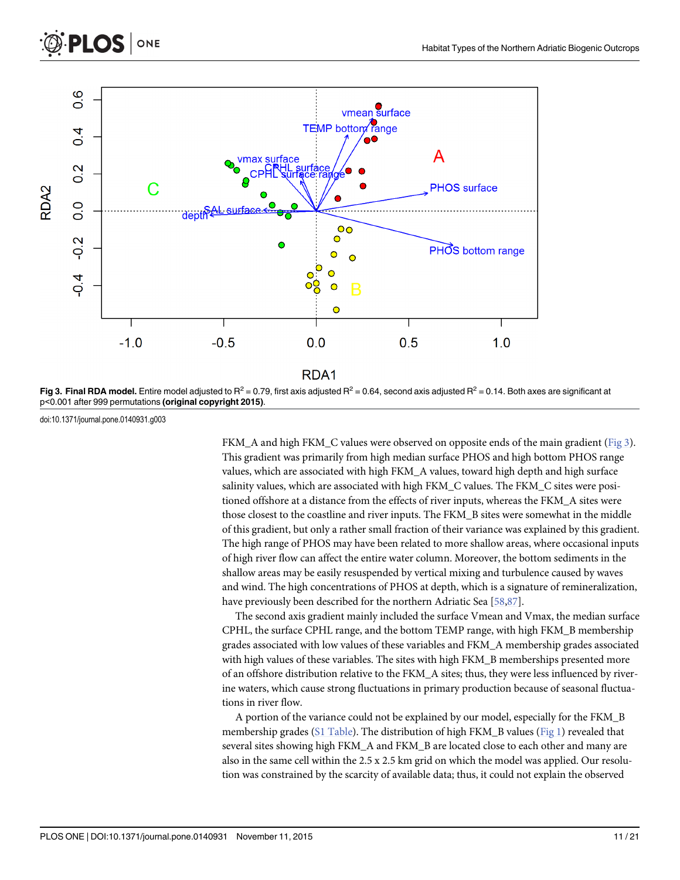<span id="page-10-0"></span>

RDA1

Fig 3. Final RDA model. Entire model adjusted to  $R^2 = 0.79$ , first axis adjusted  $R^2 = 0.64$ , second axis adjusted  $R^2 = 0.14$ . Both axes are significant at p<0.001 after 999 permutations (original copyright 2015).

doi:10.1371/journal.pone.0140931.g003

FKM A and high FKM C values were observed on opposite ends of the main gradient (Fig 3). This gradient was primarily from high median surface PHOS and high bottom PHOS range values, which are associated with high FKM\_A values, toward high depth and high surface salinity values, which are associated with high FKM\_C values. The FKM\_C sites were positioned offshore at a distance from the effects of river inputs, whereas the FKM\_A sites were those closest to the coastline and river inputs. The FKM\_B sites were somewhat in the middle of this gradient, but only a rather small fraction of their variance was explained by this gradient. The high range of PHOS may have been related to more shallow areas, where occasional inputs of high river flow can affect the entire water column. Moreover, the bottom sediments in the shallow areas may be easily resuspended by vertical mixing and turbulence caused by waves and wind. The high concentrations of PHOS at depth, which is a signature of remineralization, have previously been described for the northern Adriatic Sea [\[58,](#page-18-0)[87](#page-19-0)].

The second axis gradient mainly included the surface Vmean and Vmax, the median surface CPHL, the surface CPHL range, and the bottom TEMP range, with high FKM\_B membership grades associated with low values of these variables and FKM\_A membership grades associated with high values of these variables. The sites with high FKM\_B memberships presented more of an offshore distribution relative to the FKM\_A sites; thus, they were less influenced by riverine waters, which cause strong fluctuations in primary production because of seasonal fluctuations in river flow.

A portion of the variance could not be explained by our model, especially for the FKM\_B membership grades ( $S1$  Table). The distribution of high FKM\_B values ( $Fig 1$ ) revealed that several sites showing high FKM\_A and FKM\_B are located close to each other and many are also in the same cell within the 2.5 x 2.5 km grid on which the model was applied. Our resolution was constrained by the scarcity of available data; thus, it could not explain the observed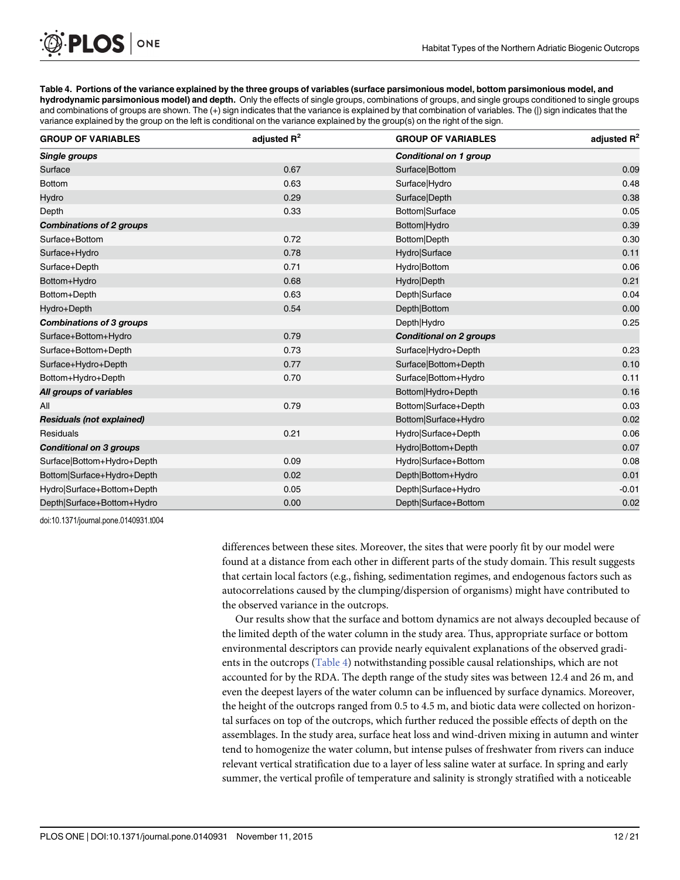Table 4. Portions of the variance explained by the three groups of variables (surface parsimonious model, bottom parsimonious model, and hydrodynamic parsimonious model) and depth. Only the effects of single groups, combinations of groups, and single groups conditioned to single groups and combinations of groups are shown. The (+) sign indicates that the variance is explained by that combination of variables. The (|) sign indicates that the variance explained by the group on the left is conditional on the variance explained by the group(s) on the right of the sign.

| <b>GROUP OF VARIABLES</b>        | adjusted $R^2$ | <b>GROUP OF VARIABLES</b>      | adjusted R <sup>2</sup> |
|----------------------------------|----------------|--------------------------------|-------------------------|
| Single groups                    |                | Conditional on 1 group         |                         |
| Surface                          | 0.67           | Surface Bottom                 | 0.09                    |
| <b>Bottom</b>                    | 0.63           | Surface Hydro                  | 0.48                    |
| Hydro                            | 0.29           | Surface Depth                  | 0.38                    |
| Depth                            | 0.33           | Bottom Surface                 | 0.05                    |
| <b>Combinations of 2 groups</b>  |                | Bottom Hydro                   | 0.39                    |
| Surface+Bottom                   | 0.72           | Bottom Depth                   | 0.30                    |
| Surface+Hydro                    | 0.78           | Hydro Surface                  | 0.11                    |
| Surface+Depth                    | 0.71           | Hydro Bottom                   | 0.06                    |
| Bottom+Hydro                     | 0.68           | Hydro Depth                    | 0.21                    |
| Bottom+Depth                     | 0.63           | Depth Surface                  | 0.04                    |
| Hydro+Depth                      | 0.54           | Depth Bottom                   | 0.00                    |
| <b>Combinations of 3 groups</b>  |                | Depth Hydro                    | 0.25                    |
| Surface+Bottom+Hydro             | 0.79           | <b>Conditional on 2 groups</b> |                         |
| Surface+Bottom+Depth             | 0.73           | Surface Hydro+Depth            | 0.23                    |
| Surface+Hydro+Depth              | 0.77           | Surface Bottom+Depth           | 0.10                    |
| Bottom+Hydro+Depth               | 0.70           | Surface Bottom+Hydro           | 0.11                    |
| All groups of variables          |                | Bottom Hydro+Depth             | 0.16                    |
| All                              | 0.79           | Bottom Surface+Depth           | 0.03                    |
| <b>Residuals (not explained)</b> |                | Bottom Surface+Hydro           | 0.02                    |
| Residuals                        | 0.21           | Hydro Surface+Depth            | 0.06                    |
| <b>Conditional on 3 groups</b>   |                | Hydro Bottom+Depth             | 0.07                    |
| Surface Bottom+Hydro+Depth       | 0.09           | Hydro Surface+Bottom           | 0.08                    |
| Bottom Surface+Hydro+Depth       | 0.02           | Depth Bottom+Hydro             | 0.01                    |
| Hydro Surface+Bottom+Depth       | 0.05           | Depth Surface+Hydro            | $-0.01$                 |
| Depth Surface+Bottom+Hydro       | 0.00           | Depth Surface+Bottom           | 0.02                    |

doi:10.1371/journal.pone.0140931.t004

<span id="page-11-0"></span>PLOS ONE

differences between these sites. Moreover, the sites that were poorly fit by our model were found at a distance from each other in different parts of the study domain. This result suggests that certain local factors (e.g., fishing, sedimentation regimes, and endogenous factors such as autocorrelations caused by the clumping/dispersion of organisms) might have contributed to the observed variance in the outcrops.

Our results show that the surface and bottom dynamics are not always decoupled because of the limited depth of the water column in the study area. Thus, appropriate surface or bottom environmental descriptors can provide nearly equivalent explanations of the observed gradients in the outcrops (Table 4) notwithstanding possible causal relationships, which are not accounted for by the RDA. The depth range of the study sites was between 12.4 and 26 m, and even the deepest layers of the water column can be influenced by surface dynamics. Moreover, the height of the outcrops ranged from 0.5 to 4.5 m, and biotic data were collected on horizontal surfaces on top of the outcrops, which further reduced the possible effects of depth on the assemblages. In the study area, surface heat loss and wind-driven mixing in autumn and winter tend to homogenize the water column, but intense pulses of freshwater from rivers can induce relevant vertical stratification due to a layer of less saline water at surface. In spring and early summer, the vertical profile of temperature and salinity is strongly stratified with a noticeable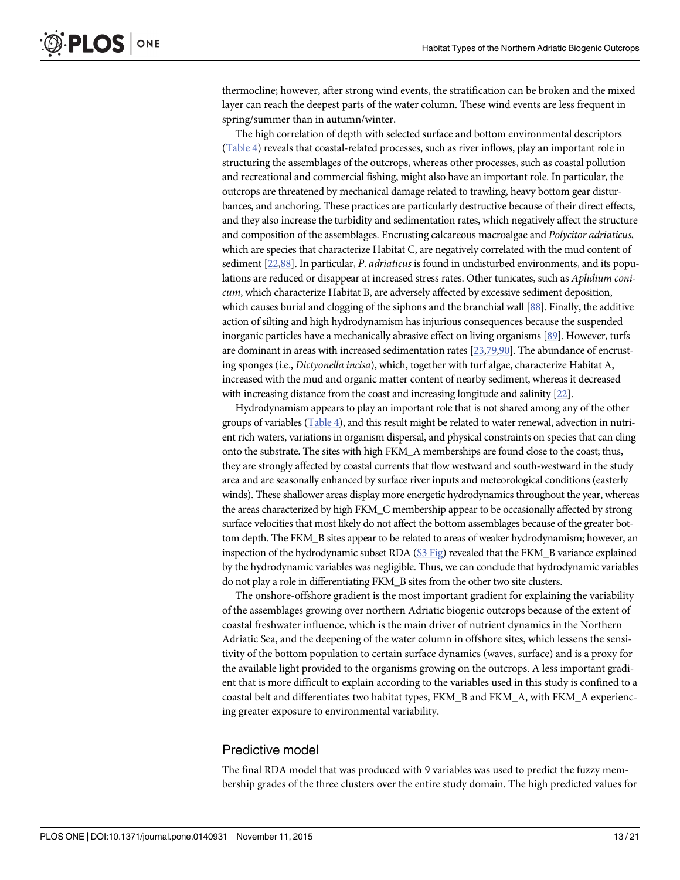<span id="page-12-0"></span>thermocline; however, after strong wind events, the stratification can be broken and the mixed layer can reach the deepest parts of the water column. These wind events are less frequent in spring/summer than in autumn/winter.

The high correlation of depth with selected surface and bottom environmental descriptors [\(Table 4\)](#page-11-0) reveals that coastal-related processes, such as river inflows, play an important role in structuring the assemblages of the outcrops, whereas other processes, such as coastal pollution and recreational and commercial fishing, might also have an important role. In particular, the outcrops are threatened by mechanical damage related to trawling, heavy bottom gear disturbances, and anchoring. These practices are particularly destructive because of their direct effects, and they also increase the turbidity and sedimentation rates, which negatively affect the structure and composition of the assemblages. Encrusting calcareous macroalgae and Polycitor adriaticus, which are species that characterize Habitat C, are negatively correlated with the mud content of sediment [\[22,](#page-17-0)[88\]](#page-19-0). In particular, P. *adriaticus* is found in undisturbed environments, and its populations are reduced or disappear at increased stress rates. Other tunicates, such as Aplidium conicum, which characterize Habitat B, are adversely affected by excessive sediment deposition, which causes burial and clogging of the siphons and the branchial wall [[88\]](#page-19-0). Finally, the additive action of silting and high hydrodynamism has injurious consequences because the suspended inorganic particles have a mechanically abrasive effect on living organisms [[89](#page-19-0)]. However, turfs are dominant in areas with increased sedimentation rates [[23](#page-17-0)[,79](#page-19-0),[90\]](#page-20-0). The abundance of encrusting sponges (i.e., Dictyonella incisa), which, together with turf algae, characterize Habitat A, increased with the mud and organic matter content of nearby sediment, whereas it decreased with increasing distance from the coast and increasing longitude and salinity [[22\]](#page-17-0).

Hydrodynamism appears to play an important role that is not shared among any of the other groups of variables [\(Table 4](#page-11-0)), and this result might be related to water renewal, advection in nutrient rich waters, variations in organism dispersal, and physical constraints on species that can cling onto the substrate. The sites with high FKM\_A memberships are found close to the coast; thus, they are strongly affected by coastal currents that flow westward and south-westward in the study area and are seasonally enhanced by surface river inputs and meteorological conditions (easterly winds). These shallower areas display more energetic hydrodynamics throughout the year, whereas the areas characterized by high FKM\_C membership appear to be occasionally affected by strong surface velocities that most likely do not affect the bottom assemblages because of the greater bottom depth. The FKM\_B sites appear to be related to areas of weaker hydrodynamism; however, an inspection of the hydrodynamic subset RDA [\(S3 Fig\)](#page-16-0) revealed that the FKM\_B variance explained by the hydrodynamic variables was negligible. Thus, we can conclude that hydrodynamic variables do not play a role in differentiating FKM\_B sites from the other two site clusters.

The onshore-offshore gradient is the most important gradient for explaining the variability of the assemblages growing over northern Adriatic biogenic outcrops because of the extent of coastal freshwater influence, which is the main driver of nutrient dynamics in the Northern Adriatic Sea, and the deepening of the water column in offshore sites, which lessens the sensitivity of the bottom population to certain surface dynamics (waves, surface) and is a proxy for the available light provided to the organisms growing on the outcrops. A less important gradient that is more difficult to explain according to the variables used in this study is confined to a coastal belt and differentiates two habitat types, FKM\_B and FKM\_A, with FKM\_A experiencing greater exposure to environmental variability.

#### Predictive model

The final RDA model that was produced with 9 variables was used to predict the fuzzy membership grades of the three clusters over the entire study domain. The high predicted values for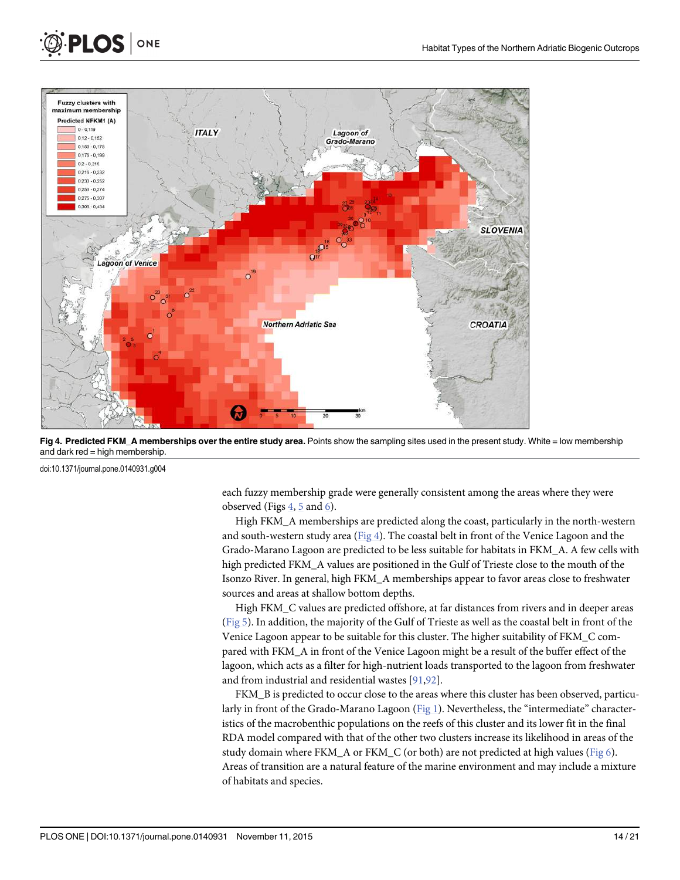<span id="page-13-0"></span>



Fig 4. Predicted FKM\_A memberships over the entire study area. Points show the sampling sites used in the present study. White = low membership and dark red = high membership.

each fuzzy membership grade were generally consistent among the areas where they were observed (Figs  $\frac{4}{5}$  $\frac{4}{5}$  $\frac{4}{5}$  and  $\frac{6}{5}$ ).

High FKM\_A memberships are predicted along the coast, particularly in the north-western and south-western study area  $(Fig 4)$ . The coastal belt in front of the Venice Lagoon and the Grado-Marano Lagoon are predicted to be less suitable for habitats in FKM\_A. A few cells with high predicted FKM\_A values are positioned in the Gulf of Trieste close to the mouth of the Isonzo River. In general, high FKM\_A memberships appear to favor areas close to freshwater sources and areas at shallow bottom depths.

High FKM\_C values are predicted offshore, at far distances from rivers and in deeper areas [\(Fig 5\)](#page-14-0). In addition, the majority of the Gulf of Trieste as well as the coastal belt in front of the Venice Lagoon appear to be suitable for this cluster. The higher suitability of FKM\_C compared with FKM\_A in front of the Venice Lagoon might be a result of the buffer effect of the lagoon, which acts as a filter for high-nutrient loads transported to the lagoon from freshwater and from industrial and residential wastes [[91,92](#page-20-0)].

FKM\_B is predicted to occur close to the areas where this cluster has been observed, particu-larly in front of the Grado-Marano Lagoon [\(Fig 1\)](#page-3-0). Nevertheless, the "intermediate" characteristics of the macrobenthic populations on the reefs of this cluster and its lower fit in the final RDA model compared with that of the other two clusters increase its likelihood in areas of the study domain where FKM\_A or FKM\_C (or both) are not predicted at high values [\(Fig 6](#page-15-0)). Areas of transition are a natural feature of the marine environment and may include a mixture of habitats and species.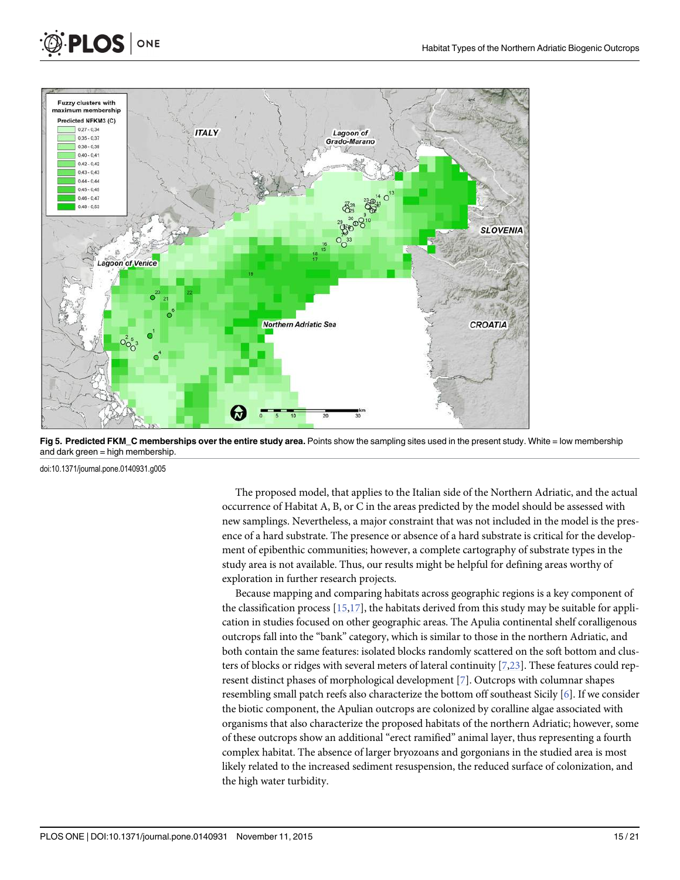<span id="page-14-0"></span>



[Fig 5. P](#page-13-0)redicted FKM\_C memberships over the entire study area. Points show the sampling sites used in the present study. White = low membership and dark green = high membership.

The proposed model, that applies to the Italian side of the Northern Adriatic, and the actual occurrence of Habitat A, B, or C in the areas predicted by the model should be assessed with new samplings. Nevertheless, a major constraint that was not included in the model is the presence of a hard substrate. The presence or absence of a hard substrate is critical for the development of epibenthic communities; however, a complete cartography of substrate types in the study area is not available. Thus, our results might be helpful for defining areas worthy of exploration in further research projects.

Because mapping and comparing habitats across geographic regions is a key component of the classification process  $[15,17]$  $[15,17]$ , the habitats derived from this study may be suitable for application in studies focused on other geographic areas. The Apulia continental shelf coralligenous outcrops fall into the "bank" category, which is similar to those in the northern Adriatic, and both contain the same features: isolated blocks randomly scattered on the soft bottom and clusters of blocks or ridges with several meters of lateral continuity [\[7,](#page-16-0)[23\]](#page-17-0). These features could represent distinct phases of morphological development [\[7](#page-16-0)]. Outcrops with columnar shapes resembling small patch reefs also characterize the bottom off southeast Sicily [[6\]](#page-16-0). If we consider the biotic component, the Apulian outcrops are colonized by coralline algae associated with organisms that also characterize the proposed habitats of the northern Adriatic; however, some of these outcrops show an additional "erect ramified" animal layer, thus representing a fourth complex habitat. The absence of larger bryozoans and gorgonians in the studied area is most likely related to the increased sediment resuspension, the reduced surface of colonization, and the high water turbidity.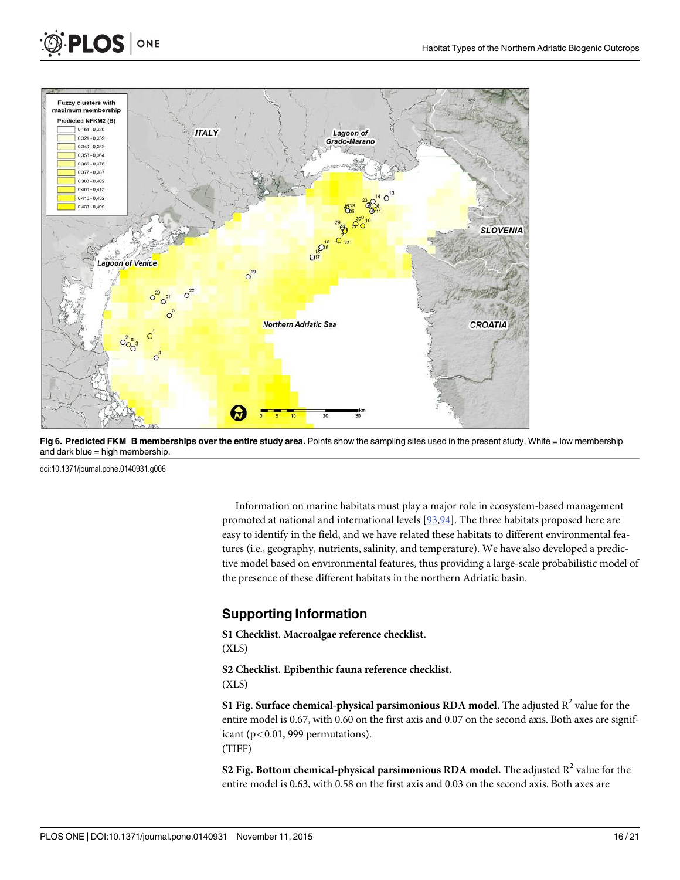<span id="page-15-0"></span>



[Fig 6. P](#page-13-0)redicted FKM\_B memberships over the entire study area. Points show the sampling sites used in the present study. White = low membership and dark blue = high membership.

Information on marine habitats must play a major role in ecosystem-based management promoted at national and international levels [\[93,94\]](#page-20-0). The three habitats proposed here are easy to identify in the field, and we have related these habitats to different environmental features (i.e., geography, nutrients, salinity, and temperature). We have also developed a predictive model based on environmental features, thus providing a large-scale probabilistic model of the presence of these different habitats in the northern Adriatic basin.

# Supporting Information

[S1 Checklist.](http://www.plosone.org/article/fetchSingleRepresentation.action?uri=info:doi/10.1371/journal.pone.0140931.s001) Macroalgae reference checklist. (XLS)

[S2 Checklist.](http://www.plosone.org/article/fetchSingleRepresentation.action?uri=info:doi/10.1371/journal.pone.0140931.s002) Epibenthic fauna reference checklist. (XLS)

[S1 Fig.](http://www.plosone.org/article/fetchSingleRepresentation.action?uri=info:doi/10.1371/journal.pone.0140931.s003) Surface chemical-physical parsimonious RDA model. The adjusted  $R^2$  value for the entire model is 0.67, with 0.60 on the first axis and 0.07 on the second axis. Both axes are significant ( $p<0.01$ , 999 permutations). (TIFF)

[S2 Fig.](http://www.plosone.org/article/fetchSingleRepresentation.action?uri=info:doi/10.1371/journal.pone.0140931.s004) Bottom chemical-physical parsimonious RDA model. The adjusted  $R^2$  value for the entire model is 0.63, with 0.58 on the first axis and 0.03 on the second axis. Both axes are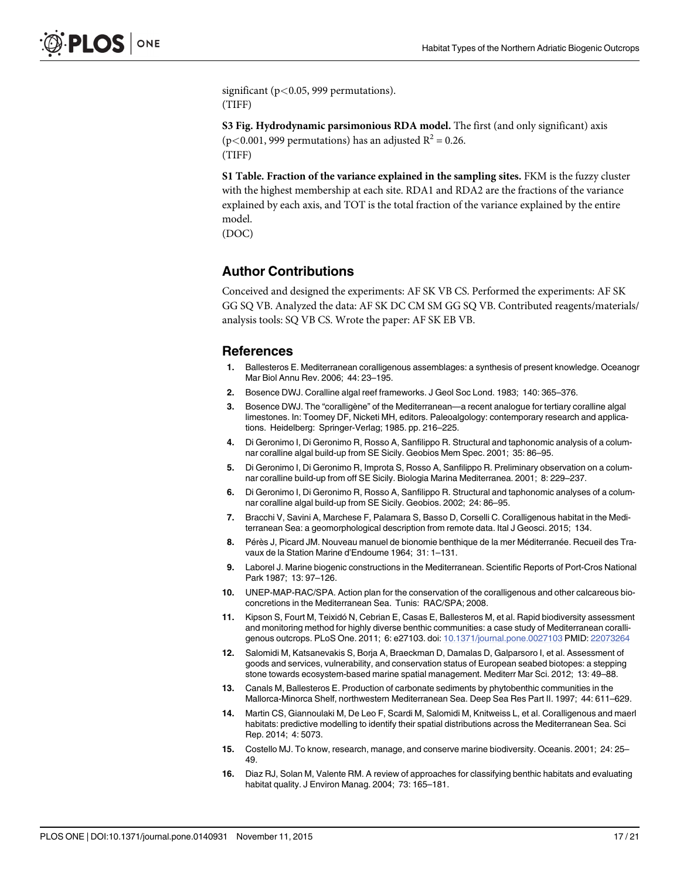<span id="page-16-0"></span>significant ( $p<0.05$ , 999 permutations). (TIFF)

[S3 Fig.](http://www.plosone.org/article/fetchSingleRepresentation.action?uri=info:doi/10.1371/journal.pone.0140931.s005) Hydrodynamic parsimonious RDA model. The first (and only significant) axis (p<0.001, 999 permutations) has an adjusted  $R^2 = 0.26$ . (TIFF)

[S1 Table](http://www.plosone.org/article/fetchSingleRepresentation.action?uri=info:doi/10.1371/journal.pone.0140931.s006). Fraction of the variance explained in the sampling sites. FKM is the fuzzy cluster with the highest membership at each site. RDA1 and RDA2 are the fractions of the variance explained by each axis, and TOT is the total fraction of the variance explained by the entire model.

(DOC)

#### Author Contributions

Conceived and designed the experiments: AF SK VB CS. Performed the experiments: AF SK GG SQ VB. Analyzed the data: AF SK DC CM SM GG SQ VB. Contributed reagents/materials/ analysis tools: SQ VB CS. Wrote the paper: AF SK EB VB.

#### References

- [1.](#page-1-0) Ballesteros E. Mediterranean coralligenous assemblages: a synthesis of present knowledge. Oceanogr Mar Biol Annu Rev. 2006; 44: 23–195.
- 2. Bosence DWJ. Coralline algal reef frameworks. J Geol Soc Lond. 1983; 140: 365–376.
- 3. Bosence DWJ. The "coralligène" of the Mediterranean—a recent analogue for tertiary coralline algal limestones. In: Toomey DF, Nicketi MH, editors. Paleoalgology: contemporary research and applications. Heidelberg: Springer-Verlag; 1985. pp. 216–225.
- 4. Di Geronimo I, Di Geronimo R, Rosso A, Sanfilippo R. Structural and taphonomic analysis of a columnar coralline algal build-up from SE Sicily. Geobios Mem Spec. 2001; 35: 86–95.
- 5. Di Geronimo I, Di Geronimo R, Improta S, Rosso A, Sanfilippo R. Preliminary observation on a columnar coralline build-up from off SE Sicily. Biologia Marina Mediterranea. 2001; 8: 229–237.
- [6.](#page-14-0) Di Geronimo I, Di Geronimo R, Rosso A, Sanfilippo R. Structural and taphonomic analyses of a columnar coralline algal build-up from SE Sicily. Geobios. 2002; 24: 86–95.
- [7.](#page-1-0) Bracchi V, Savini A, Marchese F, Palamara S, Basso D, Corselli C. Coralligenous habitat in the Mediterranean Sea: a geomorphological description from remote data. Ital J Geosci. 2015; 134.
- 8. Pérès J, Picard JM. Nouveau manuel de bionomie benthique de la mer Méditerranée. Recueil des Travaux de la Station Marine d'Endoume 1964; 31: 1–131.
- [9.](#page-1-0) Laborel J. Marine biogenic constructions in the Mediterranean. Scientific Reports of Port-Cros National Park 1987; 13: 97–126.
- [10.](#page-1-0) UNEP-MAP-RAC/SPA. Action plan for the conservation of the coralligenous and other calcareous bioconcretions in the Mediterranean Sea. Tunis: RAC/SPA; 2008.
- [11.](#page-1-0) Kipson S, Fourt M, Teixidó N, Cebrian E, Casas E, Ballesteros M, et al. Rapid biodiversity assessment and monitoring method for highly diverse benthic communities: a case study of Mediterranean coralligenous outcrops. PLoS One. 2011; 6: e27103. doi: [10.1371/journal.pone.0027103](http://dx.doi.org/10.1371/journal.pone.0027103) PMID: [22073264](http://www.ncbi.nlm.nih.gov/pubmed/22073264)
- [12.](#page-1-0) Salomidi M, Katsanevakis S, Borja A, Braeckman D, Damalas D, Galparsoro I, et al. Assessment of goods and services, vulnerability, and conservation status of European seabed biotopes: a stepping stone towards ecosystem-based marine spatial management. Mediterr Mar Sci. 2012; 13: 49–88.
- [13.](#page-1-0) Canals M, Ballesteros E. Production of carbonate sediments by phytobenthic communities in the Mallorca-Minorca Shelf, northwestern Mediterranean Sea. Deep Sea Res Part II. 1997; 44: 611–629.
- [14.](#page-1-0) Martin CS, Giannoulaki M, De Leo F, Scardi M, Salomidi M, Knitweiss L, et al. Coralligenous and maerl habitats: predictive modelling to identify their spatial distributions across the Mediterranean Sea. Sci Rep. 2014; 4: 5073.
- [15.](#page-1-0) Costello MJ. To know, research, manage, and conserve marine biodiversity. Oceanis. 2001; 24: 25– 49.
- [16.](#page-1-0) Diaz RJ, Solan M, Valente RM. A review of approaches for classifying benthic habitats and evaluating habitat quality. J Environ Manag. 2004; 73: 165–181.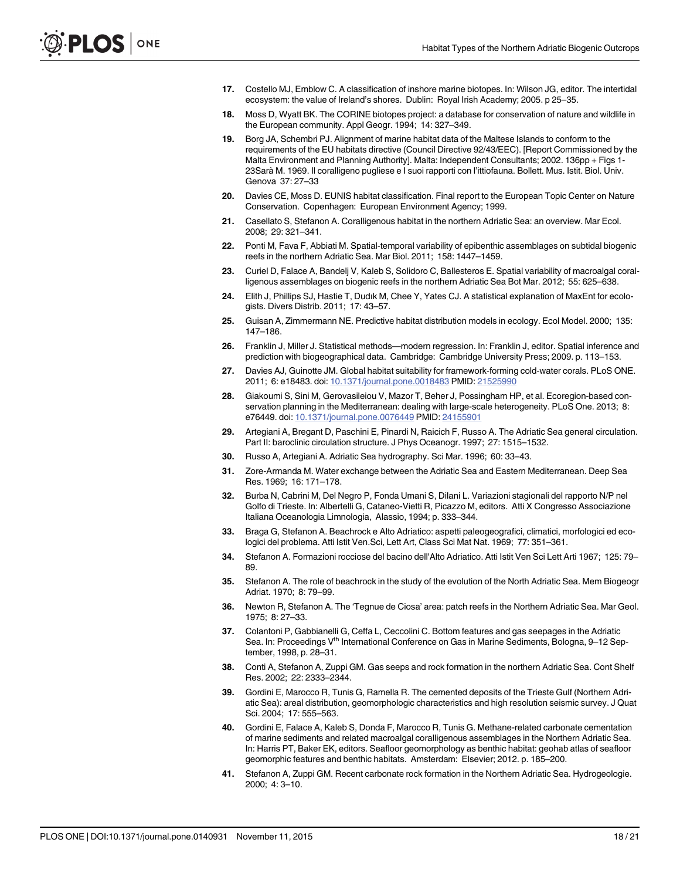- <span id="page-17-0"></span>[17.](#page-1-0) Costello MJ, Emblow C. A classification of inshore marine biotopes. In: Wilson JG, editor. The intertidal ecosystem: the value of Ireland's shores. Dublin: Royal Irish Academy; 2005. p 25–35.
- [18.](#page-1-0) Moss D, Wyatt BK. The CORINE biotopes project: a database for conservation of nature and wildlife in the European community. Appl Geogr. 1994; 14: 327–349.
- [19.](#page-1-0) Borg JA, Schembri PJ. Alignment of marine habitat data of the Maltese Islands to conform to the requirements of the EU habitats directive (Council Directive 92/43/EEC). [Report Commissioned by the Malta Environment and Planning Authority]. Malta: Independent Consultants; 2002. 136pp + Figs 1- 23Sarà M. 1969. Il coralligeno pugliese e I suoi rapporti con l'ittiofauna. Bollett. Mus. Istit. Biol. Univ. Genova 37: 27–33
- [20.](#page-1-0) Davies CE, Moss D. EUNIS habitat classification. Final report to the European Topic Center on Nature Conservation. Copenhagen: European Environment Agency; 1999.
- [21.](#page-2-0) Casellato S, Stefanon A. Coralligenous habitat in the northern Adriatic Sea: an overview. Mar Ecol. 2008; 29: 321–341.
- [22.](#page-2-0) Ponti M, Fava F, Abbiati M. Spatial-temporal variability of epibenthic assemblages on subtidal biogenic reefs in the northern Adriatic Sea. Mar Biol. 2011; 158: 1447–1459.
- [23.](#page-2-0) Curiel D, Falace A, Bandelj V, Kaleb S, Solidoro C, Ballesteros E. Spatial variability of macroalgal coralligenous assemblages on biogenic reefs in the northern Adriatic Sea Bot Mar. 2012; 55: 625–638.
- [24.](#page-2-0) Elith J, Phillips SJ, Hastie T, Dudık M, Chee Y, Yates CJ. A statistical explanation of MaxEnt for ecologists. Divers Distrib. 2011; 17: 43–57.
- [25.](#page-2-0) Guisan A, Zimmermann NE. Predictive habitat distribution models in ecology. Ecol Model. 2000; 135: 147–186.
- [26.](#page-2-0) Franklin J, Miller J. Statistical methods—modern regression. In: Franklin J, editor. Spatial inference and prediction with biogeographical data. Cambridge: Cambridge University Press; 2009. p. 113–153.
- [27.](#page-2-0) Davies AJ, Guinotte JM. Global habitat suitability for framework-forming cold-water corals. PLoS ONE. 2011; 6: e18483. doi: [10.1371/journal.pone.0018483](http://dx.doi.org/10.1371/journal.pone.0018483) PMID: [21525990](http://www.ncbi.nlm.nih.gov/pubmed/21525990)
- [28.](#page-2-0) Giakoumi S, Sini M, Gerovasileiou V, Mazor T, Beher J, Possingham HP, et al. Ecoregion-based conservation planning in the Mediterranean: dealing with large-scale heterogeneity. PLoS One. 2013; 8: e76449. doi: [10.1371/journal.pone.0076449](http://dx.doi.org/10.1371/journal.pone.0076449) PMID: [24155901](http://www.ncbi.nlm.nih.gov/pubmed/24155901)
- [29.](#page-2-0) Artegiani A, Bregant D, Paschini E, Pinardi N, Raicich F, Russo A. The Adriatic Sea general circulation. Part II: baroclinic circulation structure. J Phys Oceanogr. 1997; 27: 1515–1532.
- [30.](#page-2-0) Russo A, Artegiani A. Adriatic Sea hydrography. Sci Mar. 1996; 60: 33–43.
- [31.](#page-2-0) Zore-Armanda M. Water exchange between the Adriatic Sea and Eastern Mediterranean. Deep Sea Res. 1969; 16: 171–178.
- [32.](#page-2-0) Burba N, Cabrini M, Del Negro P, Fonda Umani S, Dilani L. Variazioni stagionali del rapporto N/P nel Golfo di Trieste. In: Albertelli G, Cataneo-Vietti R, Picazzo M, editors. Atti X Congresso Associazione Italiana Oceanologia Limnologia, Alassio, 1994; p. 333–344.
- [33.](#page-2-0) Braga G, Stefanon A. Beachrock e Alto Adriatico: aspetti paleogeografici, climatici, morfologici ed ecologici del problema. Atti Istit Ven.Sci, Lett Art, Class Sci Mat Nat. 1969; 77: 351–361.
- 34. Stefanon A. Formazioni rocciose del bacino dell'Alto Adriatico. Atti Istit Ven Sci Lett Arti 1967; 125: 79– 89.
- 35. Stefanon A. The role of beachrock in the study of the evolution of the North Adriatic Sea. Mem Biogeogr Adriat. 1970; 8: 79–99.
- [36.](#page-2-0) Newton R, Stefanon A. The 'Tegnue de Ciosa' area: patch reefs in the Northern Adriatic Sea. Mar Geol. 1975; 8: 27–33.
- [37.](#page-2-0) Colantoni P, Gabbianelli G, Ceffa L, Ceccolini C. Bottom features and gas seepages in the Adriatic Sea. In: Proceedings V<sup>th</sup> International Conference on Gas in Marine Sediments, Bologna, 9-12 September, 1998, p. 28–31.
- 38. Conti A, Stefanon A, Zuppi GM. Gas seeps and rock formation in the northern Adriatic Sea. Cont Shelf Res. 2002; 22: 2333–2344.
- 39. Gordini E, Marocco R, Tunis G, Ramella R. The cemented deposits of the Trieste Gulf (Northern Adriatic Sea): areal distribution, geomorphologic characteristics and high resolution seismic survey. J Quat Sci. 2004; 17: 555–563.
- [40.](#page-2-0) Gordini E, Falace A, Kaleb S, Donda F, Marocco R, Tunis G. Methane-related carbonate cementation of marine sediments and related macroalgal coralligenous assemblages in the Northern Adriatic Sea. In: Harris PT, Baker EK, editors. Seafloor geomorphology as benthic habitat: geohab atlas of seafloor geomorphic features and benthic habitats. Amsterdam: Elsevier; 2012. p. 185–200.
- [41.](#page-2-0) Stefanon A, Zuppi GM. Recent carbonate rock formation in the Northern Adriatic Sea. Hydrogeologie. 2000; 4: 3–10.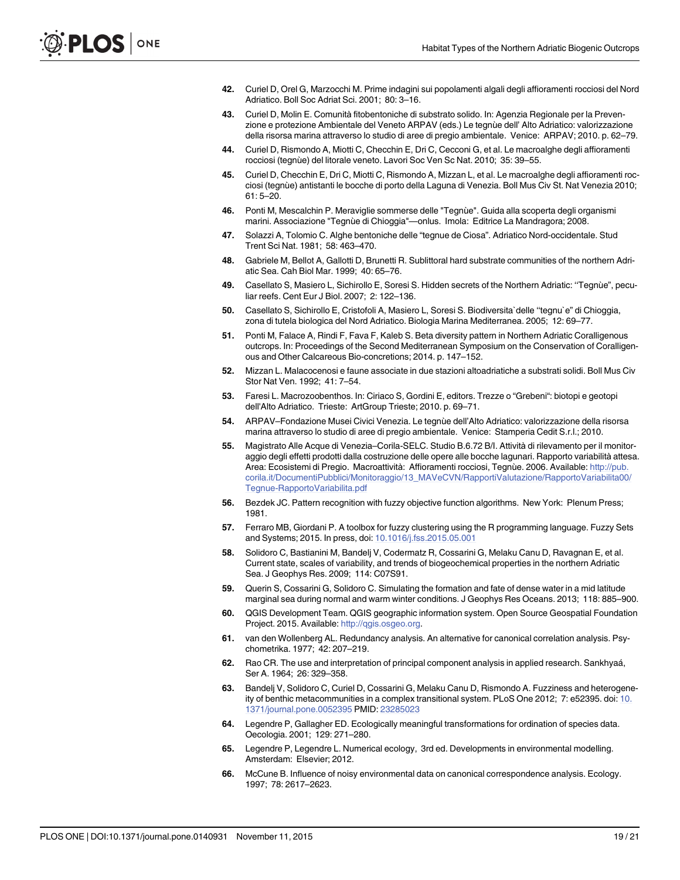- <span id="page-18-0"></span>[42.](#page-3-0) Curiel D, Orel G, Marzocchi M. Prime indagini sui popolamenti algali degli affioramenti rocciosi del Nord Adriatico. Boll Soc Adriat Sci. 2001; 80: 3–16.
- 43. Curiel D, Molin E. Comunità fitobentoniche di substrato solido. In: Agenzia Regionale per la Prevenzione e protezione Ambientale del Veneto ARPAV (eds.) Le tegnùe dell' Alto Adriatico: valorizzazione della risorsa marina attraverso lo studio di aree di pregio ambientale. Venice: ARPAV; 2010. p. 62–79.
- 44. Curiel D, Rismondo A, Miotti C, Checchin E, Dri C, Cecconi G, et al. Le macroalghe degli affioramenti rocciosi (tegnùe) del litorale veneto. Lavori Soc Ven Sc Nat. 2010; 35: 39–55.
- 45. Curiel D, Checchin E, Dri C, Miotti C, Rismondo A, Mizzan L, et al. Le macroalghe degli affioramenti rocciosi (tegnùe) antistanti le bocche di porto della Laguna di Venezia. Boll Mus Civ St. Nat Venezia 2010; 61: 5–20.
- [46.](#page-6-0) Ponti M, Mescalchin P. Meraviglie sommerse delle "Tegnùe". Guida alla scoperta degli organismi marini. Associazione "Tegnùe di Chioggia"—onlus. Imola: Editrice La Mandragora; 2008.
- [47.](#page-3-0) Solazzi A, Tolomio C. Alghe bentoniche delle "tegnue de Ciosa". Adriatico Nord-occidentale. Stud Trent Sci Nat. 1981; 58: 463–470.
- [48.](#page-3-0) Gabriele M, Bellot A, Gallotti D, Brunetti R. Sublittoral hard substrate communities of the northern Adriatic Sea. Cah Biol Mar. 1999; 40: 65–76.
- 49. Casellato S, Masiero L, Sichirollo E, Soresi S. Hidden secrets of the Northern Adriatic: ''Tegnùe", peculiar reefs. Cent Eur J Biol. 2007; 2: 122–136.
- 50. Casellato S, Sichirollo E, Cristofoli A, Masiero L, Soresi S. Biodiversita`delle ''tegnu`e" di Chioggia, zona di tutela biologica del Nord Adriatico. Biologia Marina Mediterranea. 2005; 12: 69–77.
- [51.](#page-5-0) Ponti M, Falace A, Rindi F, Fava F, Kaleb S. Beta diversity pattern in Northern Adriatic Coralligenous outcrops. In: Proceedings of the Second Mediterranean Symposium on the Conservation of Coralligenous and Other Calcareous Bio-concretions; 2014. p. 147–152.
- [52.](#page-3-0) Mizzan L. Malacocenosi e faune associate in due stazioni altoadriatiche a substrati solidi. Boll Mus Civ Stor Nat Ven. 1992; 41: 7–54.
- [53.](#page-3-0) Faresi L. Macrozoobenthos. In: Ciriaco S, Gordini E, editors. Trezze o "Grebeni": biotopi e geotopi dell'Alto Adriatico. Trieste: ArtGroup Trieste; 2010. p. 69–71.
- 54. ARPAV–Fondazione Musei Civici Venezia. Le tegnùe dell'Alto Adriatico: valorizzazione della risorsa marina attraverso lo studio di aree di pregio ambientale. Venice: Stamperia Cedit S.r.l.; 2010.
- [55.](#page-3-0) Magistrato Alle Acque di Venezia–Corila-SELC. Studio B.6.72 B/I. Attività di rilevamento per il monitoraggio degli effetti prodotti dalla costruzione delle opere alle bocche lagunari. Rapporto variabilità attesa. Area: Ecosistemi di Pregio. Macroattività: Affioramenti rocciosi, Tegnùe. 2006. Available: [http://pub.](http://pub.corila.it/DocumentiPubblici/Monitoraggio/13_MAVeCVN/RapportiValutazione/RapportoVariabilita00/Tegnue-RapportoVariabilita.pdf) [corila.it/DocumentiPubblici/Monitoraggio/13\\_MAVeCVN/RapportiValutazione/RapportoVariabilita00/](http://pub.corila.it/DocumentiPubblici/Monitoraggio/13_MAVeCVN/RapportiValutazione/RapportoVariabilita00/Tegnue-RapportoVariabilita.pdf) [Tegnue-RapportoVariabilita.pdf](http://pub.corila.it/DocumentiPubblici/Monitoraggio/13_MAVeCVN/RapportiValutazione/RapportoVariabilita00/Tegnue-RapportoVariabilita.pdf)
- [56.](#page-4-0) Bezdek JC. Pattern recognition with fuzzy objective function algorithms. New York: Plenum Press; 1981.
- [57.](#page-4-0) Ferraro MB, Giordani P. A toolbox for fuzzy clustering using the R programming language. Fuzzy Sets and Systems; 2015. In press, doi: [10.1016/j.fss.2015.05.001](http://dx.doi.org/10.1016/j.fss.2015.05.001)
- [58.](#page-4-0) Solidoro C, Bastianini M, Bandelj V, Codermatz R, Cossarini G, Melaku Canu D, Ravagnan E, et al. Current state, scales of variability, and trends of biogeochemical properties in the northern Adriatic Sea. J Geophys Res. 2009; 114: C07S91.
- [59.](#page-5-0) Querin S, Cossarini G, Solidoro C. Simulating the formation and fate of dense water in a mid latitude marginal sea during normal and warm winter conditions. J Geophys Res Oceans. 2013; 118: 885–900.
- [60.](#page-5-0) QGIS Development Team. QGIS geographic information system. Open Source Geospatial Foundation Project. 2015. Available: [http://qgis.osgeo.org.](http://qgis.osgeo.org)
- [61.](#page-5-0) van den Wollenberg AL. Redundancy analysis. An alternative for canonical correlation analysis. Psychometrika. 1977; 42: 207–219.
- [62.](#page-5-0) Rao CR. The use and interpretation of principal component analysis in applied research. Sankhyaá, Ser A. 1964; 26: 329–358.
- [63.](#page-5-0) Bandelj V, Solidoro C, Curiel D, Cossarini G, Melaku Canu D, Rismondo A. Fuzziness and heterogeneity of benthic metacommunities in a complex transitional system. PLoS One 2012; 7: e52395. doi: [10.](http://dx.doi.org/10.1371/journal.pone.0052395) [1371/journal.pone.0052395](http://dx.doi.org/10.1371/journal.pone.0052395) PMID: [23285023](http://www.ncbi.nlm.nih.gov/pubmed/23285023)
- [64.](#page-5-0) Legendre P, Gallagher ED. Ecologically meaningful transformations for ordination of species data. Oecologia. 2001; 129: 271–280.
- [65.](#page-5-0) Legendre P, Legendre L. Numerical ecology, 3rd ed. Developments in environmental modelling. Amsterdam: Elsevier; 2012.
- [66.](#page-5-0) McCune B. Influence of noisy environmental data on canonical correspondence analysis. Ecology. 1997; 78: 2617–2623.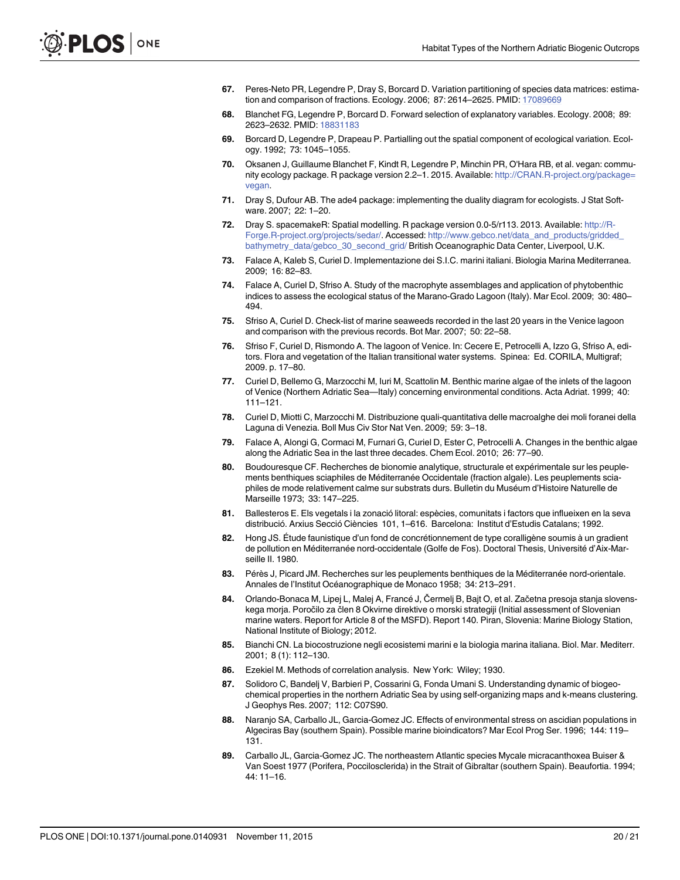- <span id="page-19-0"></span>[67.](#page-5-0) Peres-Neto PR, Legendre P, Dray S, Borcard D. Variation partitioning of species data matrices: estimation and comparison of fractions. Ecology. 2006; 87: 2614–2625. PMID: [17089669](http://www.ncbi.nlm.nih.gov/pubmed/17089669)
- [68.](#page-5-0) Blanchet FG, Legendre P, Borcard D. Forward selection of explanatory variables. Ecology. 2008; 89: 2623–2632. PMID: [18831183](http://www.ncbi.nlm.nih.gov/pubmed/18831183)
- [69.](#page-5-0) Borcard D, Legendre P, Drapeau P. Partialling out the spatial component of ecological variation. Ecology. 1992; 73: 1045–1055.
- [70.](#page-5-0) Oksanen J, Guillaume Blanchet F, Kindt R, Legendre P, Minchin PR, O'Hara RB, et al. vegan: community ecology package. R package version 2.2-1. 2015. Available: [http://CRAN.R-project.org/package=](http://CRAN.R-project.org/package=vegan) [vegan.](http://CRAN.R-project.org/package=vegan)
- [71.](#page-5-0) Dray S, Dufour AB. The ade4 package: implementing the duality diagram for ecologists. J Stat Software. 2007; 22: 1–20.
- [72.](#page-5-0) Dray S. spacemakeR: Spatial modelling. R package version 0.0-5/r113. 2013. Available: [http://R-](http://R-Forge.R-project.org/projects/sedar/)[Forge.R-project.org/projects/sedar/](http://R-Forge.R-project.org/projects/sedar/). Accessed: [http://www.gebco.net/data\\_and\\_products/gridded\\_](http://www.gebco.net/data_and_products/gridded_bathymetry_data/gebco_30_second_grid/) [bathymetry\\_data/gebco\\_30\\_second\\_grid/](http://www.gebco.net/data_and_products/gridded_bathymetry_data/gebco_30_second_grid/) British Oceanographic Data Center, Liverpool, U.K.
- [73.](#page-6-0) Falace A, Kaleb S, Curiel D. Implementazione dei S.I.C. marini italiani. Biologia Marina Mediterranea. 2009; 16: 82–83.
- 74. Falace A, Curiel D, Sfriso A. Study of the macrophyte assemblages and application of phytobenthic indices to assess the ecological status of the Marano-Grado Lagoon (Italy). Mar Ecol. 2009; 30: 480– 494.
- 75. Sfriso A, Curiel D. Check-list of marine seaweeds recorded in the last 20 years in the Venice lagoon and comparison with the previous records. Bot Mar. 2007; 50: 22–58.
- 76. Sfriso F, Curiel D, Rismondo A. The lagoon of Venice. In: Cecere E, Petrocelli A, Izzo G, Sfriso A, editors. Flora and vegetation of the Italian transitional water systems. Spinea: Ed. CORILA, Multigraf; 2009. p. 17–80.
- 77. Curiel D, Bellemo G, Marzocchi M, Iuri M, Scattolin M. Benthic marine algae of the inlets of the lagoon of Venice (Northern Adriatic Sea—Italy) concerning environmental conditions. Acta Adriat. 1999; 40: 111–121.
- [78.](#page-6-0) Curiel D, Miotti C, Marzocchi M. Distribuzione quali-quantitativa delle macroalghe dei moli foranei della Laguna di Venezia. Boll Mus Civ Stor Nat Ven. 2009; 59: 3–18.
- [79.](#page-6-0) Falace A, Alongi G, Cormaci M, Furnari G, Curiel D, Ester C, Petrocelli A. Changes in the benthic algae along the Adriatic Sea in the last three decades. Chem Ecol. 2010; 26: 77–90.
- [80.](#page-6-0) Boudouresque CF. Recherches de bionomie analytique, structurale et expérimentale sur les peuplements benthiques sciaphiles de Méditerranée Occidentale (fraction algale). Les peuplements sciaphiles de mode relativement calme sur substrats durs. Bulletin du Muséum d'Histoire Naturelle de Marseille 1973; 33: 147–225.
- 81. Ballesteros E. Els vegetals i la zonació litoral: espècies, comunitats i factors que influeixen en la seva distribució. Arxius Secció Ciències 101, 1–616. Barcelona: Institut d'Estudis Catalans; 1992.
- [82.](#page-6-0) Hong JS. Etude faunistique d'un fond de concrétionnement de type coralligène soumis à un gradient de pollution en Méditerranée nord-occidentale (Golfe de Fos). Doctoral Thesis, Université d'Aix-Marseille II. 1980.
- [83.](#page-6-0) Pérès J, Picard JM. Recherches sur les peuplements benthiques de la Méditerranée nord-orientale. Annales de l'Institut Océanographique de Monaco 1958; 34: 213–291.
- [84.](#page-6-0) Orlando-Bonaca M, Lipej L, Malej A, Francé J, Čermelj B, Bajt O, et al. Začetna presoja stanja slovenskega morja. Poročilo za člen 8 Okvirne direktive o morski strategiji (Initial assessment of Slovenian marine waters. Report for Article 8 of the MSFD). Report 140. Piran, Slovenia: Marine Biology Station, National Institute of Biology; 2012.
- [85.](#page-6-0) Bianchi CN. La biocostruzione negli ecosistemi marini e la biologia marina italiana. Biol. Mar. Mediterr. 2001; 8 (1): 112–130.
- [86.](#page-8-0) Ezekiel M. Methods of correlation analysis. New York: Wiley; 1930.
- [87.](#page-10-0) Solidoro C, Bandelj V, Barbieri P, Cossarini G, Fonda Umani S. Understanding dynamic of biogeochemical properties in the northern Adriatic Sea by using self-organizing maps and k-means clustering. J Geophys Res. 2007; 112: C07S90.
- [88.](#page-12-0) Naranjo SA, Carballo JL, Garcia-Gomez JC. Effects of environmental stress on ascidian populations in Algeciras Bay (southern Spain). Possible marine bioindicators? Mar Ecol Prog Ser. 1996; 144: 119– 131.
- [89.](#page-12-0) Carballo JL, Garcia-Gomez JC. The northeastern Atlantic species Mycale micracanthoxea Buiser & Van Soest 1977 (Porifera, Poccilosclerida) in the Strait of Gibraltar (southern Spain). Beaufortia. 1994; 44: 11–16.